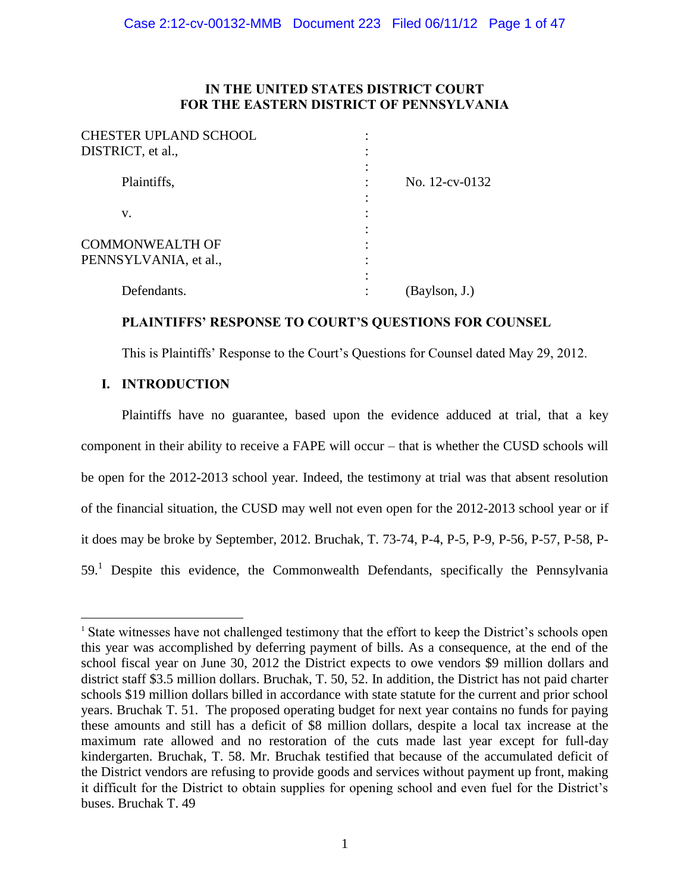## **IN THE UNITED STATES DISTRICT COURT FOR THE EASTERN DISTRICT OF PENNSYLVANIA**

| <b>CHESTER UPLAND SCHOOL</b>                    |                |
|-------------------------------------------------|----------------|
| DISTRICT, et al.,                               |                |
| Plaintiffs,                                     | No. 12-cv-0132 |
| v.                                              |                |
| <b>COMMONWEALTH OF</b><br>PENNSYLVANIA, et al., |                |
| Defendants.                                     | (Baylson, J.)  |

## **PLAINTIFFS' RESPONSE TO COURT'S QUESTIONS FOR COUNSEL**

This is Plaintiffs' Response to the Court's Questions for Counsel dated May 29, 2012.

## **I. INTRODUCTION**

 $\overline{a}$ 

Plaintiffs have no guarantee, based upon the evidence adduced at trial, that a key component in their ability to receive a FAPE will occur – that is whether the CUSD schools will be open for the 2012-2013 school year. Indeed, the testimony at trial was that absent resolution of the financial situation, the CUSD may well not even open for the 2012-2013 school year or if it does may be broke by September, 2012. Bruchak, T. 73-74, P-4, P-5, P-9, P-56, P-57, P-58, P-59.<sup>1</sup> Despite this evidence, the Commonwealth Defendants, specifically the Pennsylvania

<sup>&</sup>lt;sup>1</sup> State witnesses have not challenged testimony that the effort to keep the District's schools open this year was accomplished by deferring payment of bills. As a consequence, at the end of the school fiscal year on June 30, 2012 the District expects to owe vendors \$9 million dollars and district staff \$3.5 million dollars. Bruchak, T. 50, 52. In addition, the District has not paid charter schools \$19 million dollars billed in accordance with state statute for the current and prior school years. Bruchak T. 51. The proposed operating budget for next year contains no funds for paying these amounts and still has a deficit of \$8 million dollars, despite a local tax increase at the maximum rate allowed and no restoration of the cuts made last year except for full-day kindergarten. Bruchak, T. 58. Mr. Bruchak testified that because of the accumulated deficit of the District vendors are refusing to provide goods and services without payment up front, making it difficult for the District to obtain supplies for opening school and even fuel for the District's buses. Bruchak T. 49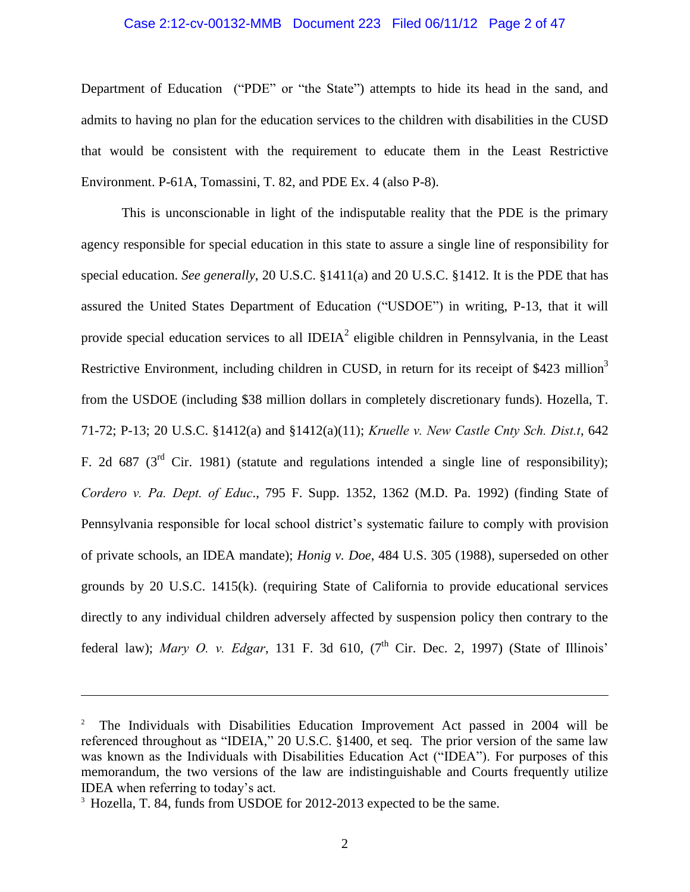#### Case 2:12-cv-00132-MMB Document 223 Filed 06/11/12 Page 2 of 47

Department of Education ("PDE" or "the State") attempts to hide its head in the sand, and admits to having no plan for the education services to the children with disabilities in the CUSD that would be consistent with the requirement to educate them in the Least Restrictive Environment. P-61A, Tomassini, T. 82, and PDE Ex. 4 (also P-8).

This is unconscionable in light of the indisputable reality that the PDE is the primary agency responsible for special education in this state to assure a single line of responsibility for special education. *See generally*, 20 U.S.C. §1411(a) and 20 U.S.C. §1412. It is the PDE that has assured the United States Department of Education ("USDOE") in writing, P-13, that it will provide special education services to all IDEIA<sup>2</sup> eligible children in Pennsylvania, in the Least Restrictive Environment, including children in CUSD, in return for its receipt of \$423 million<sup>3</sup> from the USDOE (including \$38 million dollars in completely discretionary funds). Hozella, T. 71-72; P-13; 20 U.S.C. §1412(a) and §1412(a)(11); *Kruelle v. New Castle Cnty Sch. Dist.t*, 642 F. 2d 687 ( $3<sup>rd</sup>$  Cir. 1981) (statute and regulations intended a single line of responsibility); *Cordero v. Pa. Dept. of Educ*., 795 F. Supp. 1352, 1362 (M.D. Pa. 1992) (finding State of Pennsylvania responsible for local school district's systematic failure to comply with provision of private schools, an IDEA mandate); *Honig v. Doe*, 484 U.S. 305 (1988), superseded on other grounds by 20 U.S.C. 1415(k). (requiring State of California to provide educational services directly to any individual children adversely affected by suspension policy then contrary to the federal law); *Mary O. v. Edgar*, 131 F. 3d 610, (7<sup>th</sup> Cir. Dec. 2, 1997) (State of Illinois'

<sup>2</sup> The Individuals with Disabilities Education Improvement Act passed in 2004 will be referenced throughout as "IDEIA," 20 U.S.C. §1400, et seq. The prior version of the same law was known as the Individuals with Disabilities Education Act ("IDEA"). For purposes of this memorandum, the two versions of the law are indistinguishable and Courts frequently utilize IDEA when referring to today's act.

<sup>&</sup>lt;sup>3</sup> Hozella, T. 84, funds from USDOE for 2012-2013 expected to be the same.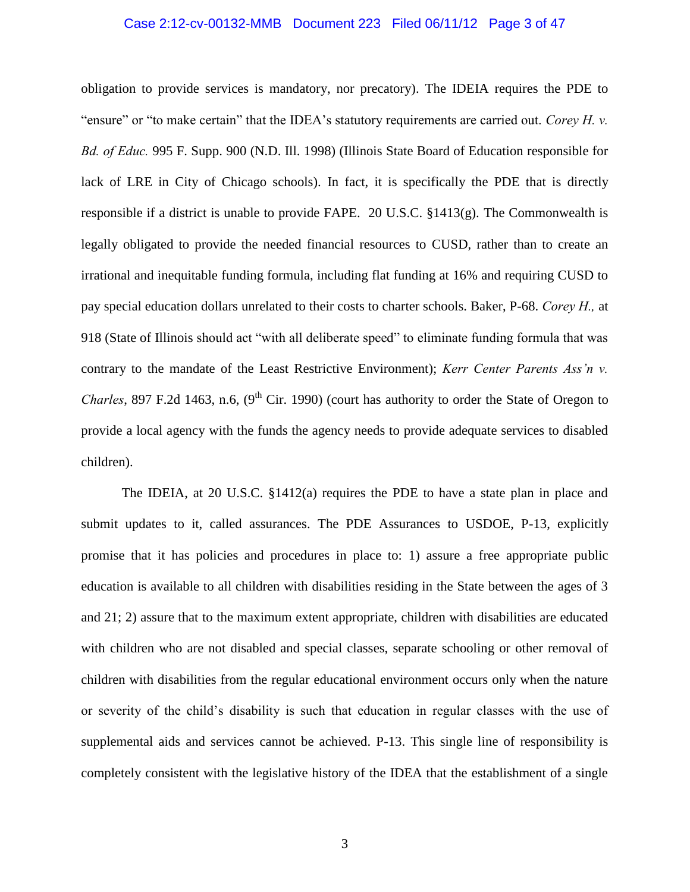## Case 2:12-cv-00132-MMB Document 223 Filed 06/11/12 Page 3 of 47

obligation to provide services is mandatory, nor precatory). The IDEIA requires the PDE to "ensure" or "to make certain" that the IDEA's statutory requirements are carried out. *Corey H. v. Bd. of Educ.* 995 F. Supp. 900 (N.D. Ill. 1998) (Illinois State Board of Education responsible for lack of LRE in City of Chicago schools). In fact, it is specifically the PDE that is directly responsible if a district is unable to provide FAPE. 20 U.S.C. §1413(g). The Commonwealth is legally obligated to provide the needed financial resources to CUSD, rather than to create an irrational and inequitable funding formula, including flat funding at 16% and requiring CUSD to pay special education dollars unrelated to their costs to charter schools. Baker, P-68. *Corey H.,* at 918 (State of Illinois should act "with all deliberate speed" to eliminate funding formula that was contrary to the mandate of the Least Restrictive Environment); *Kerr Center Parents Ass'n v. Charles*, 897 F.2d 1463, n.6,  $(9<sup>th</sup> Cir. 1990)$  (court has authority to order the State of Oregon to provide a local agency with the funds the agency needs to provide adequate services to disabled children).

The IDEIA, at 20 U.S.C. §1412(a) requires the PDE to have a state plan in place and submit updates to it, called assurances. The PDE Assurances to USDOE, P-13, explicitly promise that it has policies and procedures in place to: 1) assure a free appropriate public education is available to all children with disabilities residing in the State between the ages of 3 and 21; 2) assure that to the maximum extent appropriate, children with disabilities are educated with children who are not disabled and special classes, separate schooling or other removal of children with disabilities from the regular educational environment occurs only when the nature or severity of the child's disability is such that education in regular classes with the use of supplemental aids and services cannot be achieved. P-13. This single line of responsibility is completely consistent with the legislative history of the IDEA that the establishment of a single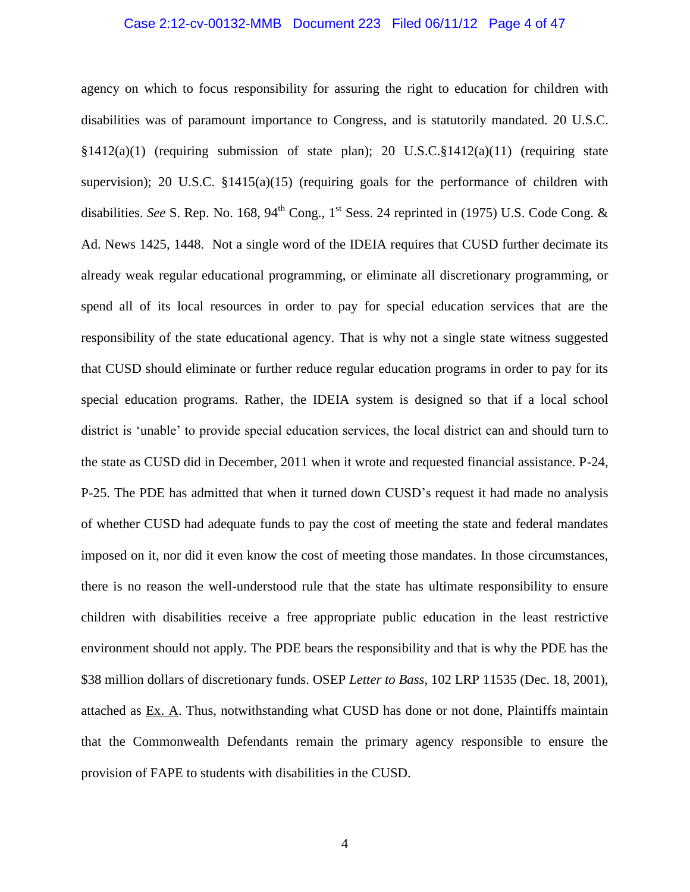## Case 2:12-cv-00132-MMB Document 223 Filed 06/11/12 Page 4 of 47

agency on which to focus responsibility for assuring the right to education for children with disabilities was of paramount importance to Congress, and is statutorily mandated. 20 U.S.C.  $\S1412(a)(1)$  (requiring submission of state plan); 20 U.S.C. $\S1412(a)(11)$  (requiring state supervision); 20 U.S.C.  $\S 1415(a)(15)$  (requiring goals for the performance of children with disabilities. *See* S. Rep. No. 168, 94<sup>th</sup> Cong., 1<sup>st</sup> Sess. 24 reprinted in (1975) U.S. Code Cong. & Ad. News 1425, 1448. Not a single word of the IDEIA requires that CUSD further decimate its already weak regular educational programming, or eliminate all discretionary programming, or spend all of its local resources in order to pay for special education services that are the responsibility of the state educational agency. That is why not a single state witness suggested that CUSD should eliminate or further reduce regular education programs in order to pay for its special education programs. Rather, the IDEIA system is designed so that if a local school district is 'unable' to provide special education services, the local district can and should turn to the state as CUSD did in December, 2011 when it wrote and requested financial assistance. P-24, P-25. The PDE has admitted that when it turned down CUSD's request it had made no analysis of whether CUSD had adequate funds to pay the cost of meeting the state and federal mandates imposed on it, nor did it even know the cost of meeting those mandates. In those circumstances, there is no reason the well-understood rule that the state has ultimate responsibility to ensure children with disabilities receive a free appropriate public education in the least restrictive environment should not apply. The PDE bears the responsibility and that is why the PDE has the \$38 million dollars of discretionary funds. OSEP *Letter to Bass*, 102 LRP 11535 (Dec. 18, 2001), attached as Ex. A. Thus, notwithstanding what CUSD has done or not done, Plaintiffs maintain that the Commonwealth Defendants remain the primary agency responsible to ensure the provision of FAPE to students with disabilities in the CUSD.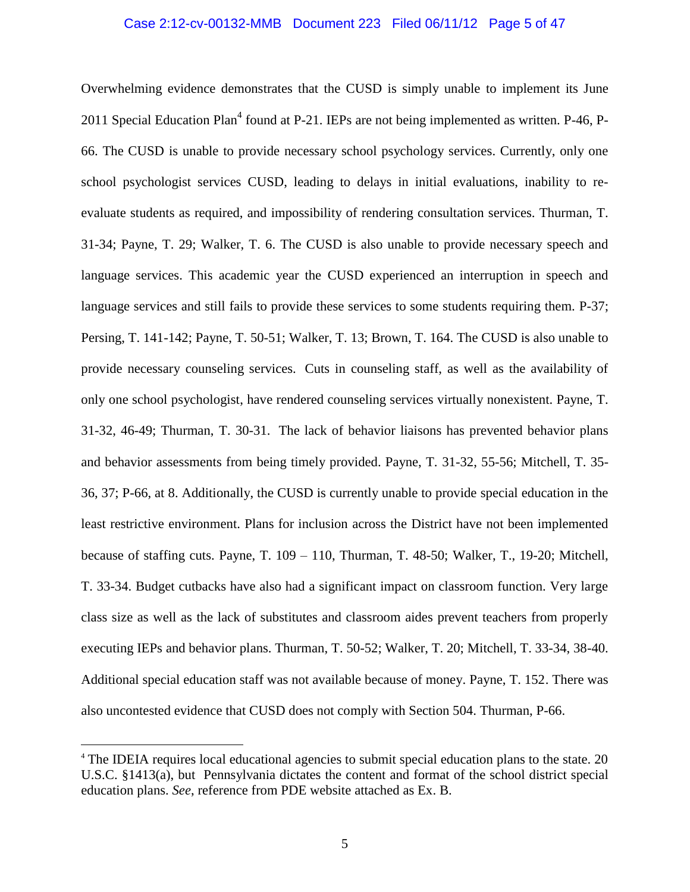## Case 2:12-cv-00132-MMB Document 223 Filed 06/11/12 Page 5 of 47

Overwhelming evidence demonstrates that the CUSD is simply unable to implement its June 2011 Special Education Plan<sup>4</sup> found at P-21. IEPs are not being implemented as written. P-46, P-66. The CUSD is unable to provide necessary school psychology services. Currently, only one school psychologist services CUSD, leading to delays in initial evaluations, inability to reevaluate students as required, and impossibility of rendering consultation services. Thurman, T. 31-34; Payne, T. 29; Walker, T. 6. The CUSD is also unable to provide necessary speech and language services. This academic year the CUSD experienced an interruption in speech and language services and still fails to provide these services to some students requiring them. P-37; Persing, T. 141-142; Payne, T. 50-51; Walker, T. 13; Brown, T. 164. The CUSD is also unable to provide necessary counseling services. Cuts in counseling staff, as well as the availability of only one school psychologist, have rendered counseling services virtually nonexistent. Payne, T. 31-32, 46-49; Thurman, T. 30-31. The lack of behavior liaisons has prevented behavior plans and behavior assessments from being timely provided. Payne, T. 31-32, 55-56; Mitchell, T. 35- 36, 37; P-66, at 8. Additionally, the CUSD is currently unable to provide special education in the least restrictive environment. Plans for inclusion across the District have not been implemented because of staffing cuts. Payne, T. 109 – 110, Thurman, T. 48-50; Walker, T., 19-20; Mitchell, T. 33-34. Budget cutbacks have also had a significant impact on classroom function. Very large class size as well as the lack of substitutes and classroom aides prevent teachers from properly executing IEPs and behavior plans. Thurman, T. 50-52; Walker, T. 20; Mitchell, T. 33-34, 38-40. Additional special education staff was not available because of money. Payne, T. 152. There was also uncontested evidence that CUSD does not comply with Section 504. Thurman, P-66.

<sup>&</sup>lt;sup>4</sup> The IDEIA requires local educational agencies to submit special education plans to the state. 20 U.S.C. §1413(a), but Pennsylvania dictates the content and format of the school district special education plans. *See*, reference from PDE website attached as Ex. B.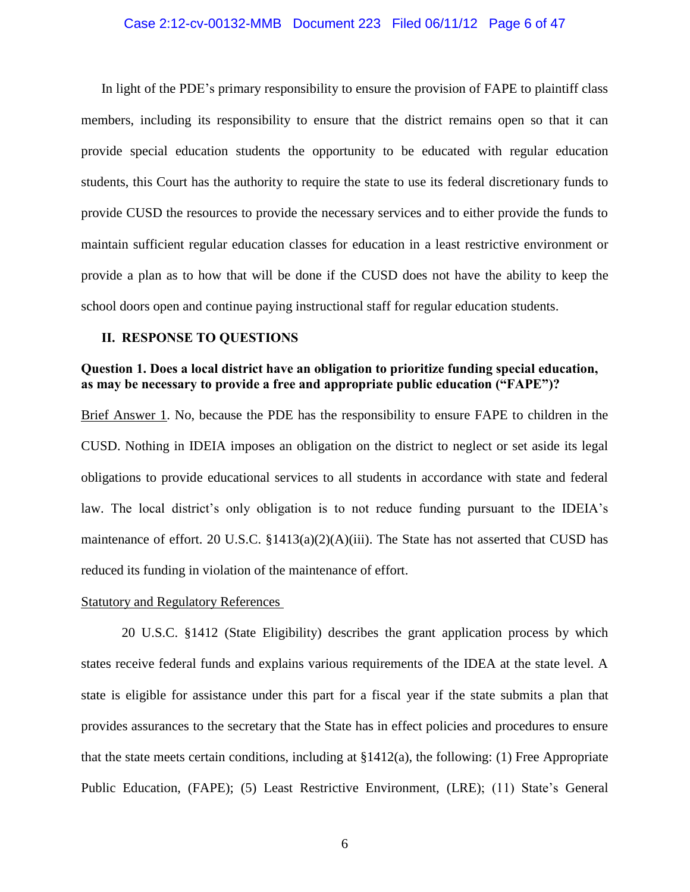## Case 2:12-cv-00132-MMB Document 223 Filed 06/11/12 Page 6 of 47

In light of the PDE's primary responsibility to ensure the provision of FAPE to plaintiff class members, including its responsibility to ensure that the district remains open so that it can provide special education students the opportunity to be educated with regular education students, this Court has the authority to require the state to use its federal discretionary funds to provide CUSD the resources to provide the necessary services and to either provide the funds to maintain sufficient regular education classes for education in a least restrictive environment or provide a plan as to how that will be done if the CUSD does not have the ability to keep the school doors open and continue paying instructional staff for regular education students.

## **II. RESPONSE TO QUESTIONS**

## **Question 1. Does a local district have an obligation to prioritize funding special education, as may be necessary to provide a free and appropriate public education ("FAPE")?**

Brief Answer 1. No, because the PDE has the responsibility to ensure FAPE to children in the CUSD. Nothing in IDEIA imposes an obligation on the district to neglect or set aside its legal obligations to provide educational services to all students in accordance with state and federal law. The local district's only obligation is to not reduce funding pursuant to the IDEIA's maintenance of effort. 20 U.S.C.  $\S 1413(a)(2)(A)(iii)$ . The State has not asserted that CUSD has reduced its funding in violation of the maintenance of effort.

## Statutory and Regulatory References

20 U.S.C. §1412 (State Eligibility) describes the grant application process by which states receive federal funds and explains various requirements of the IDEA at the state level. A state is eligible for assistance under this part for a fiscal year if the state submits a plan that provides assurances to the secretary that the State has in effect policies and procedures to ensure that the state meets certain conditions, including at §1412(a), the following: (1) Free Appropriate Public Education, (FAPE); (5) Least Restrictive Environment, (LRE); (11) State's General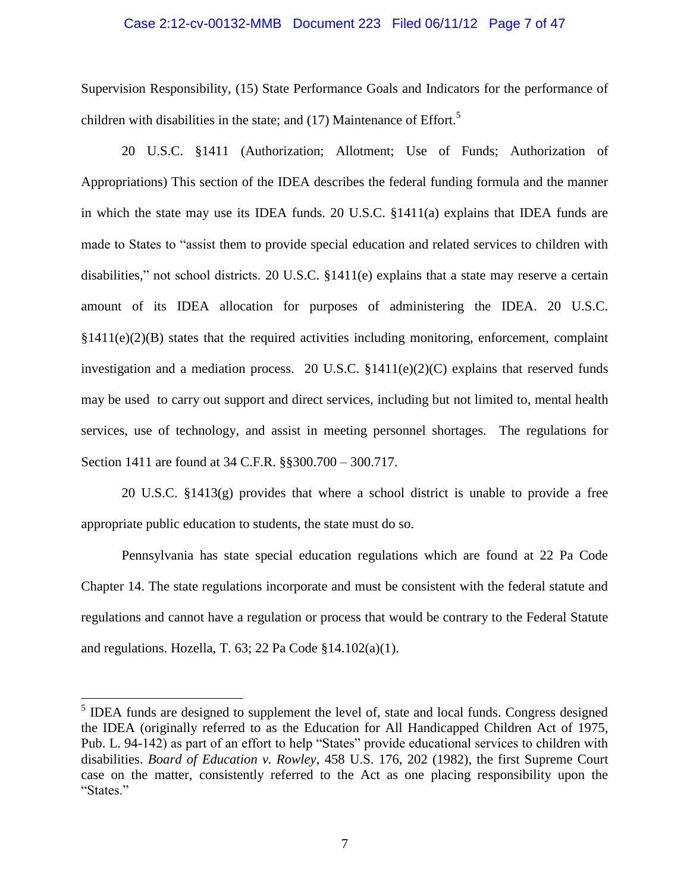#### Case 2:12-cv-00132-MMB Document 223 Filed 06/11/12 Page 7 of 47

Supervision Responsibility, (15) State Performance Goals and Indicators for the performance of children with disabilities in the state; and  $(17)$  Maintenance of Effort.<sup>5</sup>

20 U.S.C. §1411 (Authorization; Allotment; Use of Funds; Authorization of Appropriations) This section of the IDEA describes the federal funding formula and the manner in which the state may use its IDEA funds. 20 U.S.C. §1411(a) explains that IDEA funds are made to States to "assist them to provide special education and related services to children with disabilities," not school districts. 20 U.S.C. §1411(e) explains that a state may reserve a certain amount of its IDEA allocation for purposes of administering the IDEA. 20 U.S.C.  $§1411(e)(2)(B)$  states that the required activities including monitoring, enforcement, complaint investigation and a mediation process. 20 U.S.C.  $$1411(e)(2)(C)$  explains that reserved funds may be used to carry out support and direct services, including but not limited to, mental health services, use of technology, and assist in meeting personnel shortages. The regulations for Section 1411 are found at 34 C.F.R. §§300.700 – 300.717.

20 U.S.C. §1413(g) provides that where a school district is unable to provide a free appropriate public education to students, the state must do so.

Pennsylvania has state special education regulations which are found at 22 Pa Code Chapter 14. The state regulations incorporate and must be consistent with the federal statute and regulations and cannot have a regulation or process that would be contrary to the Federal Statute and regulations. Hozella, T. 63; 22 Pa Code §14.102(a)(1).

 $<sup>5</sup>$  IDEA funds are designed to supplement the level of, state and local funds. Congress designed</sup> the IDEA (originally referred to as the Education for All Handicapped Children Act of 1975, Pub. L. 94-142) as part of an effort to help "States" provide educational services to children with disabilities. *Board of Education v. Rowley*, 458 U.S. 176, 202 (1982), the first Supreme Court case on the matter, consistently referred to the Act as one placing responsibility upon the "States."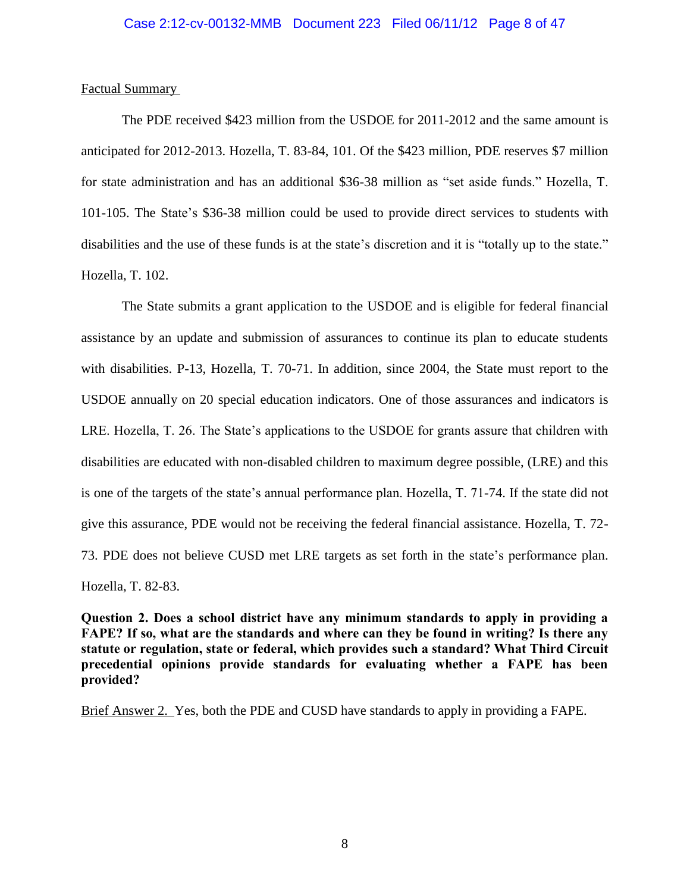## Case 2:12-cv-00132-MMB Document 223 Filed 06/11/12 Page 8 of 47

## Factual Summary

The PDE received \$423 million from the USDOE for 2011-2012 and the same amount is anticipated for 2012-2013. Hozella, T. 83-84, 101. Of the \$423 million, PDE reserves \$7 million for state administration and has an additional \$36-38 million as "set aside funds." Hozella, T. 101-105. The State's \$36-38 million could be used to provide direct services to students with disabilities and the use of these funds is at the state's discretion and it is "totally up to the state." Hozella, T. 102.

The State submits a grant application to the USDOE and is eligible for federal financial assistance by an update and submission of assurances to continue its plan to educate students with disabilities. P-13, Hozella, T. 70-71. In addition, since 2004, the State must report to the USDOE annually on 20 special education indicators. One of those assurances and indicators is LRE. Hozella, T. 26. The State's applications to the USDOE for grants assure that children with disabilities are educated with non-disabled children to maximum degree possible, (LRE) and this is one of the targets of the state's annual performance plan. Hozella, T. 71-74. If the state did not give this assurance, PDE would not be receiving the federal financial assistance. Hozella, T. 72- 73. PDE does not believe CUSD met LRE targets as set forth in the state's performance plan. Hozella, T. 82-83.

**Question 2. Does a school district have any minimum standards to apply in providing a FAPE? If so, what are the standards and where can they be found in writing? Is there any statute or regulation, state or federal, which provides such a standard? What Third Circuit precedential opinions provide standards for evaluating whether a FAPE has been provided?**

Brief Answer 2. Yes, both the PDE and CUSD have standards to apply in providing a FAPE.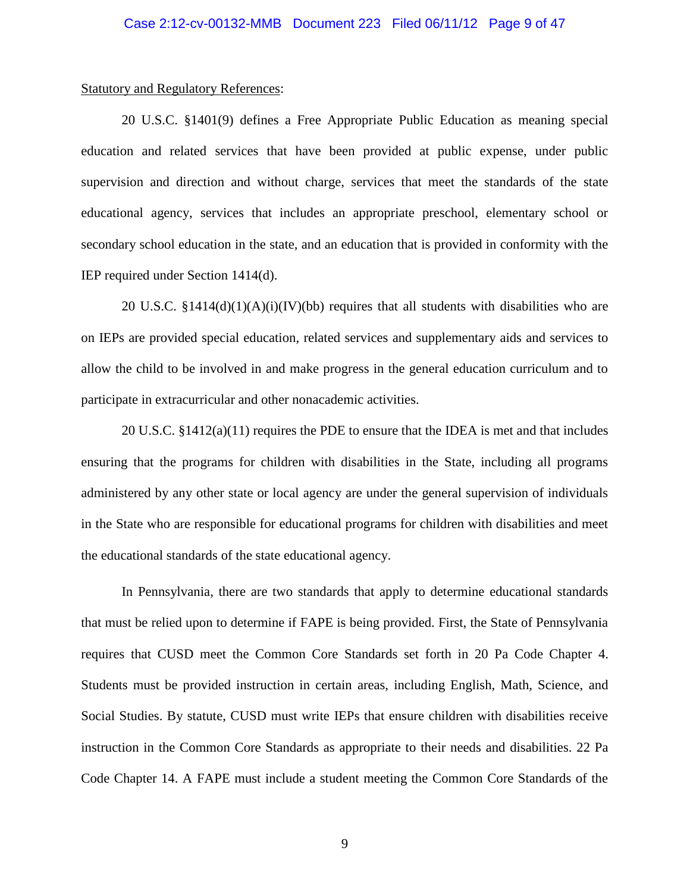#### Statutory and Regulatory References:

20 U.S.C. §1401(9) defines a Free Appropriate Public Education as meaning special education and related services that have been provided at public expense, under public supervision and direction and without charge, services that meet the standards of the state educational agency, services that includes an appropriate preschool, elementary school or secondary school education in the state, and an education that is provided in conformity with the IEP required under Section 1414(d).

20 U.S.C.  $\S 1414(d)(1)(A)(i)(IV)(bb)$  requires that all students with disabilities who are on IEPs are provided special education, related services and supplementary aids and services to allow the child to be involved in and make progress in the general education curriculum and to participate in extracurricular and other nonacademic activities.

20 U.S.C. §1412(a)(11) requires the PDE to ensure that the IDEA is met and that includes ensuring that the programs for children with disabilities in the State, including all programs administered by any other state or local agency are under the general supervision of individuals in the State who are responsible for educational programs for children with disabilities and meet the educational standards of the state educational agency.

In Pennsylvania, there are two standards that apply to determine educational standards that must be relied upon to determine if FAPE is being provided. First, the State of Pennsylvania requires that CUSD meet the Common Core Standards set forth in 20 Pa Code Chapter 4. Students must be provided instruction in certain areas, including English, Math, Science, and Social Studies. By statute, CUSD must write IEPs that ensure children with disabilities receive instruction in the Common Core Standards as appropriate to their needs and disabilities. 22 Pa Code Chapter 14. A FAPE must include a student meeting the Common Core Standards of the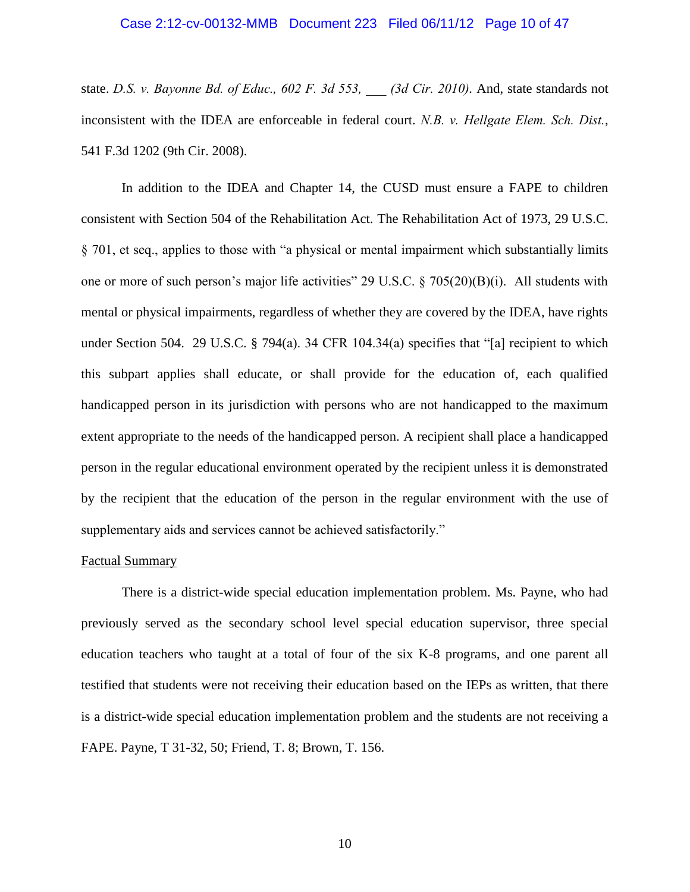## Case 2:12-cv-00132-MMB Document 223 Filed 06/11/12 Page 10 of 47

state. *D.S. v. Bayonne Bd. of Educ., 602 F. 3d 553, \_\_\_ (3d Cir. 2010).* And, state standards not inconsistent with the IDEA are enforceable in federal court. *N.B. v. Hellgate Elem. Sch. Dist.*[,](http://www.specialedconnection.com/LrpSecStoryTool/servlet/GetCase?cite=50+IDELR+241) [541 F.3d 1202](http://www.specialedconnection.com/LrpSecStoryTool/servlet/GetCase?cite=50+IDELR+241) (9th Cir. 2008).

In addition to the IDEA and Chapter 14, the CUSD must ensure a FAPE to children consistent with Section 504 of the Rehabilitation Act. The Rehabilitation Act of 1973, 29 U.S.C. § 701, et seq., applies to those with "a physical or mental impairment which substantially limits one or more of such person's major life activities" 29 U.S.C. § 705(20)(B)(i). All students with mental or physical impairments, regardless of whether they are covered by the IDEA, have rights under Section 504. 29 U.S.C. § 794(a). 34 CFR 104.34(a) specifies that "[a] recipient to which this subpart applies shall educate, or shall provide for the education of, each qualified handicapped person in its jurisdiction with persons who are not handicapped to the maximum extent appropriate to the needs of the handicapped person. A recipient shall place a handicapped person in the regular educational environment operated by the recipient unless it is demonstrated by the recipient that the education of the person in the regular environment with the use of supplementary aids and services cannot be achieved satisfactorily."

## Factual Summary

There is a district-wide special education implementation problem. Ms. Payne, who had previously served as the secondary school level special education supervisor, three special education teachers who taught at a total of four of the six K-8 programs, and one parent all testified that students were not receiving their education based on the IEPs as written, that there is a district-wide special education implementation problem and the students are not receiving a FAPE. Payne, T 31-32, 50; Friend, T. 8; Brown, T. 156.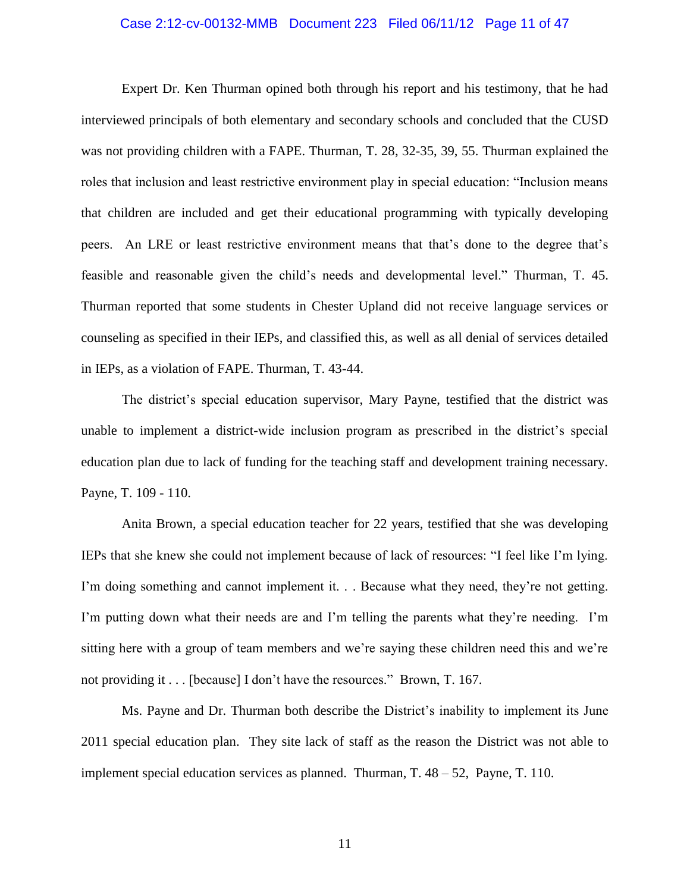## Case 2:12-cv-00132-MMB Document 223 Filed 06/11/12 Page 11 of 47

Expert Dr. Ken Thurman opined both through his report and his testimony, that he had interviewed principals of both elementary and secondary schools and concluded that the CUSD was not providing children with a FAPE. Thurman, T. 28, 32-35, 39, 55. Thurman explained the roles that inclusion and least restrictive environment play in special education: "Inclusion means that children are included and get their educational programming with typically developing peers. An LRE or least restrictive environment means that that's done to the degree that's feasible and reasonable given the child's needs and developmental level." Thurman, T. 45. Thurman reported that some students in Chester Upland did not receive language services or counseling as specified in their IEPs, and classified this, as well as all denial of services detailed in IEPs, as a violation of FAPE. Thurman, T. 43-44.

The district's special education supervisor, Mary Payne, testified that the district was unable to implement a district-wide inclusion program as prescribed in the district's special education plan due to lack of funding for the teaching staff and development training necessary. Payne, T. 109 - 110.

Anita Brown, a special education teacher for 22 years, testified that she was developing IEPs that she knew she could not implement because of lack of resources: "I feel like I'm lying. I'm doing something and cannot implement it. . . Because what they need, they're not getting. I'm putting down what their needs are and I'm telling the parents what they're needing. I'm sitting here with a group of team members and we're saying these children need this and we're not providing it . . . [because] I don't have the resources." Brown, T. 167.

Ms. Payne and Dr. Thurman both describe the District's inability to implement its June 2011 special education plan. They site lack of staff as the reason the District was not able to implement special education services as planned. Thurman, T. 48 – 52, Payne, T. 110.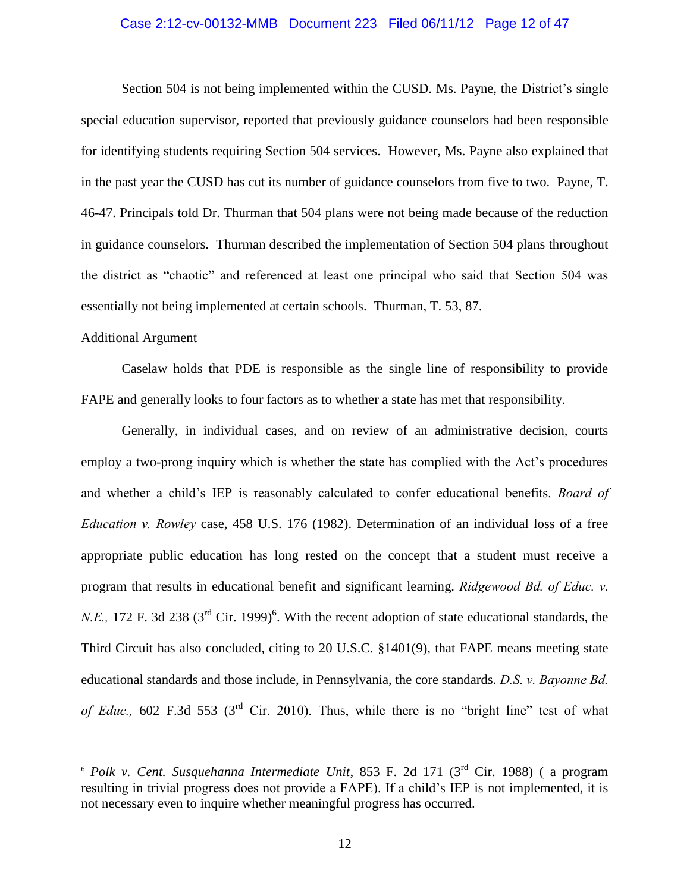## Case 2:12-cv-00132-MMB Document 223 Filed 06/11/12 Page 12 of 47

Section 504 is not being implemented within the CUSD. Ms. Payne, the District's single special education supervisor, reported that previously guidance counselors had been responsible for identifying students requiring Section 504 services. However, Ms. Payne also explained that in the past year the CUSD has cut its number of guidance counselors from five to two. Payne, T. 46-47. Principals told Dr. Thurman that 504 plans were not being made because of the reduction in guidance counselors. Thurman described the implementation of Section 504 plans throughout the district as "chaotic" and referenced at least one principal who said that Section 504 was essentially not being implemented at certain schools. Thurman, T. 53, 87.

## Additional Argument

 $\overline{a}$ 

Caselaw holds that PDE is responsible as the single line of responsibility to provide FAPE and generally looks to four factors as to whether a state has met that responsibility.

Generally, in individual cases, and on review of an administrative decision, courts employ a two-prong inquiry which is whether the state has complied with the Act's procedures and whether a child's IEP is reasonably calculated to confer educational benefits. *Board of Education v. Rowley* case, 458 U.S. 176 (1982). Determination of an individual loss of a free appropriate public education has long rested on the concept that a student must receive a program that results in educational benefit and significant learning. *Ridgewood Bd. of Educ. v. N.E.*, 172 F. 3d 238 ( $3<sup>rd</sup>$  Cir. 1999)<sup>6</sup>. With the recent adoption of state educational standards, the Third Circuit has also concluded, citing to 20 U.S.C. §1401(9), that FAPE means meeting state educational standards and those include, in Pennsylvania, the core standards. *D.S. v. Bayonne Bd. of Educ.,* 602 F.3d 553 (3rd Cir. 2010). Thus, while there is no "bright line" test of what

<sup>6</sup> *Polk v. Cent. Susquehanna Intermediate Unit*, 853 F. 2d 171 (3rd Cir. 1988) ( a program resulting in trivial progress does not provide a FAPE). If a child's IEP is not implemented, it is not necessary even to inquire whether meaningful progress has occurred.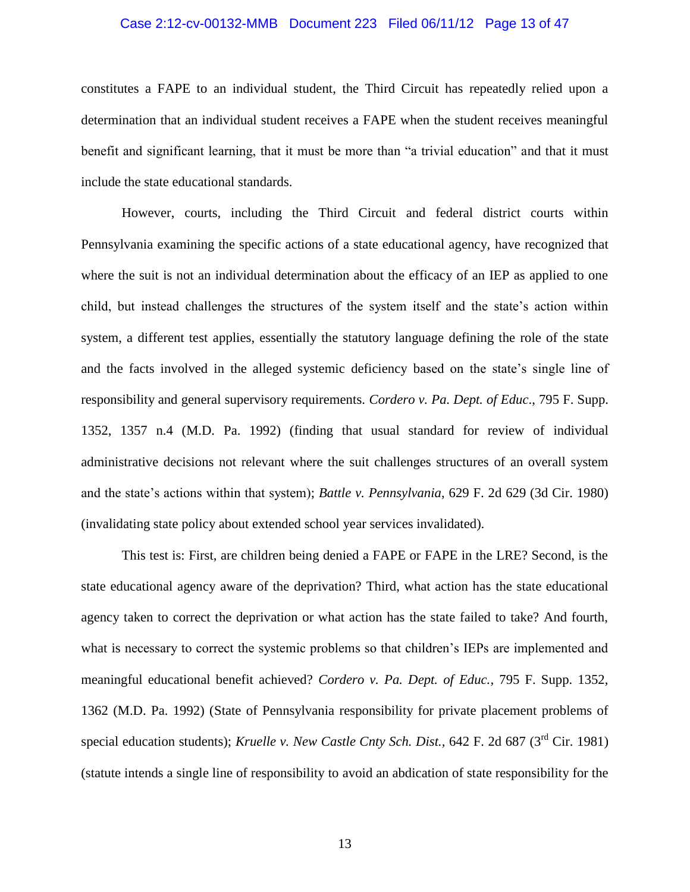## Case 2:12-cv-00132-MMB Document 223 Filed 06/11/12 Page 13 of 47

constitutes a FAPE to an individual student, the Third Circuit has repeatedly relied upon a determination that an individual student receives a FAPE when the student receives meaningful benefit and significant learning, that it must be more than "a trivial education" and that it must include the state educational standards.

However, courts, including the Third Circuit and federal district courts within Pennsylvania examining the specific actions of a state educational agency, have recognized that where the suit is not an individual determination about the efficacy of an IEP as applied to one child, but instead challenges the structures of the system itself and the state's action within system, a different test applies, essentially the statutory language defining the role of the state and the facts involved in the alleged systemic deficiency based on the state's single line of responsibility and general supervisory requirements. *Cordero v. Pa. Dept. of Educ*., 795 F. Supp. 1352, 1357 n.4 (M.D. Pa. 1992) (finding that usual standard for review of individual administrative decisions not relevant where the suit challenges structures of an overall system and the state's actions within that system); *Battle v. Pennsylvania*, 629 F. 2d 629 (3d Cir. 1980) (invalidating state policy about extended school year services invalidated).

This test is: First, are children being denied a FAPE or FAPE in the LRE? Second, is the state educational agency aware of the deprivation? Third, what action has the state educational agency taken to correct the deprivation or what action has the state failed to take? And fourth, what is necessary to correct the systemic problems so that children's IEPs are implemented and meaningful educational benefit achieved? *Cordero v. Pa. Dept. of Educ.,* 795 F. Supp. 1352, 1362 (M.D. Pa. 1992) (State of Pennsylvania responsibility for private placement problems of special education students); *Kruelle v. New Castle Cnty Sch. Dist.*, 642 F. 2d 687 (3<sup>rd</sup> Cir. 1981) (statute intends a single line of responsibility to avoid an abdication of state responsibility for the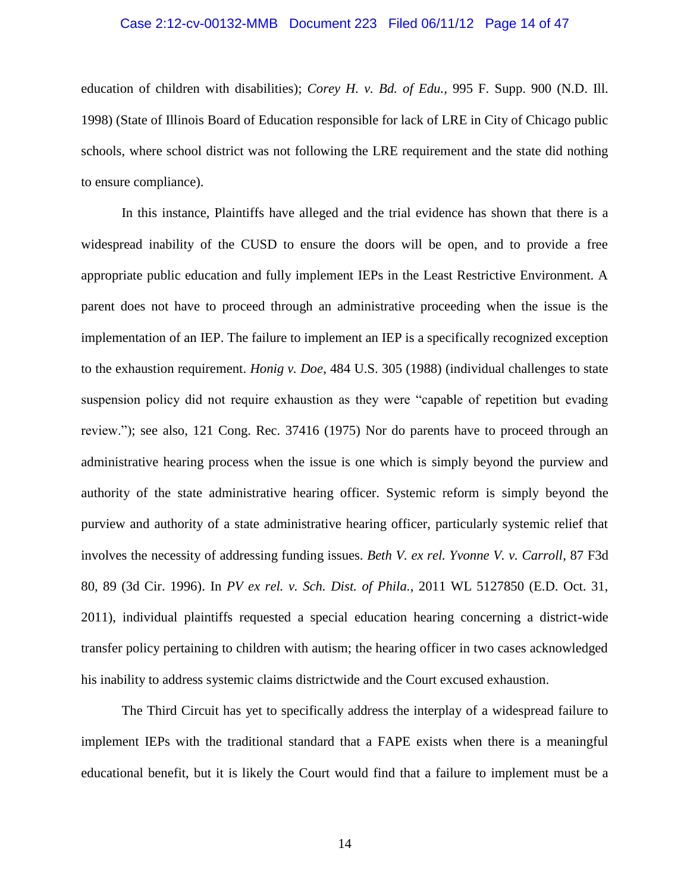## Case 2:12-cv-00132-MMB Document 223 Filed 06/11/12 Page 14 of 47

education of children with disabilities); *Corey H. v. Bd. of Edu.,* 995 F. Supp. 900 (N.D. Ill. 1998) (State of Illinois Board of Education responsible for lack of LRE in City of Chicago public schools, where school district was not following the LRE requirement and the state did nothing to ensure compliance).

In this instance, Plaintiffs have alleged and the trial evidence has shown that there is a widespread inability of the CUSD to ensure the doors will be open, and to provide a free appropriate public education and fully implement IEPs in the Least Restrictive Environment. A parent does not have to proceed through an administrative proceeding when the issue is the implementation of an IEP. The failure to implement an IEP is a specifically recognized exception to the exhaustion requirement. *Honig v. Doe*, 484 U.S. 305 (1988) (individual challenges to state suspension policy did not require exhaustion as they were "capable of repetition but evading review."); see also, 121 Cong. Rec. 37416 (1975) Nor do parents have to proceed through an administrative hearing process when the issue is one which is simply beyond the purview and authority of the state administrative hearing officer. Systemic reform is simply beyond the purview and authority of a state administrative hearing officer, particularly systemic relief that involves the necessity of addressing funding issues. *Beth V. ex rel. Yvonne V. v. Carroll*, 87 F3d 80, 89 (3d Cir. 1996). In *PV ex rel. v. Sch. Dist. of Phila.*, 2011 WL 5127850 (E.D. Oct. 31, 2011), individual plaintiffs requested a special education hearing concerning a district-wide transfer policy pertaining to children with autism; the hearing officer in two cases acknowledged his inability to address systemic claims districtwide and the Court excused exhaustion.

The Third Circuit has yet to specifically address the interplay of a widespread failure to implement IEPs with the traditional standard that a FAPE exists when there is a meaningful educational benefit, but it is likely the Court would find that a failure to implement must be a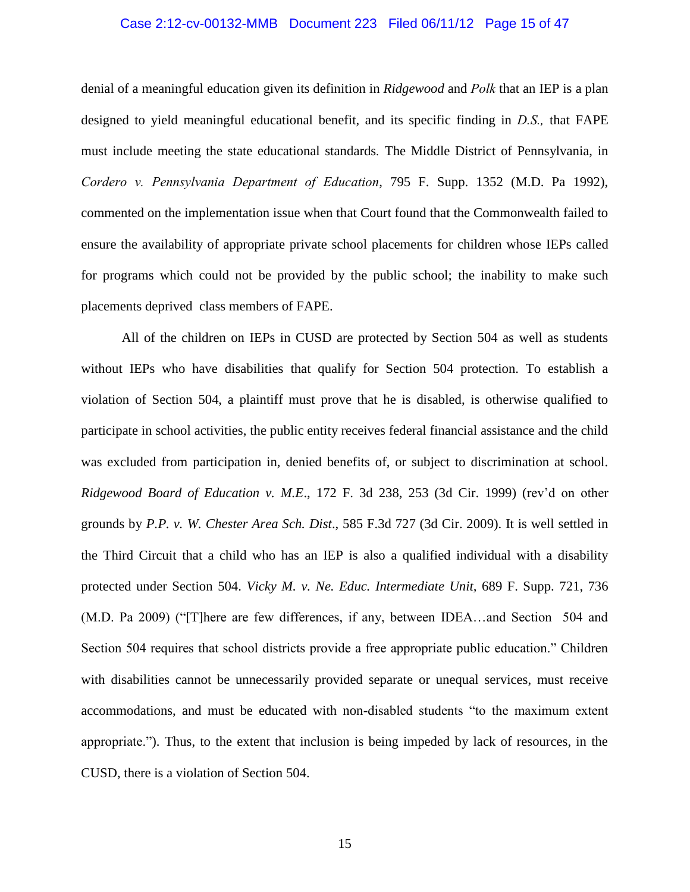## Case 2:12-cv-00132-MMB Document 223 Filed 06/11/12 Page 15 of 47

denial of a meaningful education given its definition in *Ridgewood* and *Polk* that an IEP is a plan designed to yield meaningful educational benefit, and its specific finding in *D.S.,* that FAPE must include meeting the state educational standards*.* The Middle District of Pennsylvania, in *Cordero v. Pennsylvania Department of Education*, 795 F. Supp. 1352 (M.D. Pa 1992), commented on the implementation issue when that Court found that the Commonwealth failed to ensure the availability of appropriate private school placements for children whose IEPs called for programs which could not be provided by the public school; the inability to make such placements deprived class members of FAPE.

All of the children on IEPs in CUSD are protected by Section 504 as well as students without IEPs who have disabilities that qualify for Section 504 protection. To establish a violation of Section 504, a plaintiff must prove that he is disabled, is otherwise qualified to participate in school activities, the public entity receives federal financial assistance and the child was excluded from participation in, denied benefits of, or subject to discrimination at school. *Ridgewood Board of Education v. M.E*., 172 F. 3d 238, 253 (3d Cir. 1999) (rev'd on other grounds by *P.P. v. W. Chester Area Sch. Dist*., 585 F.3d 727 (3d Cir. 2009). It is well settled in the Third Circuit that a child who has an IEP is also a qualified individual with a disability protected under Section 504. *Vicky M. v. Ne. Educ. Intermediate Unit,* 689 F. Supp. 721, 736 (M.D. Pa 2009) ("[T]here are few differences, if any, between IDEA…and Section 504 and Section 504 requires that school districts provide a free appropriate public education." Children with disabilities cannot be unnecessarily provided separate or unequal services, must receive accommodations, and must be educated with non-disabled students "to the maximum extent appropriate."). Thus, to the extent that inclusion is being impeded by lack of resources, in the CUSD, there is a violation of Section 504.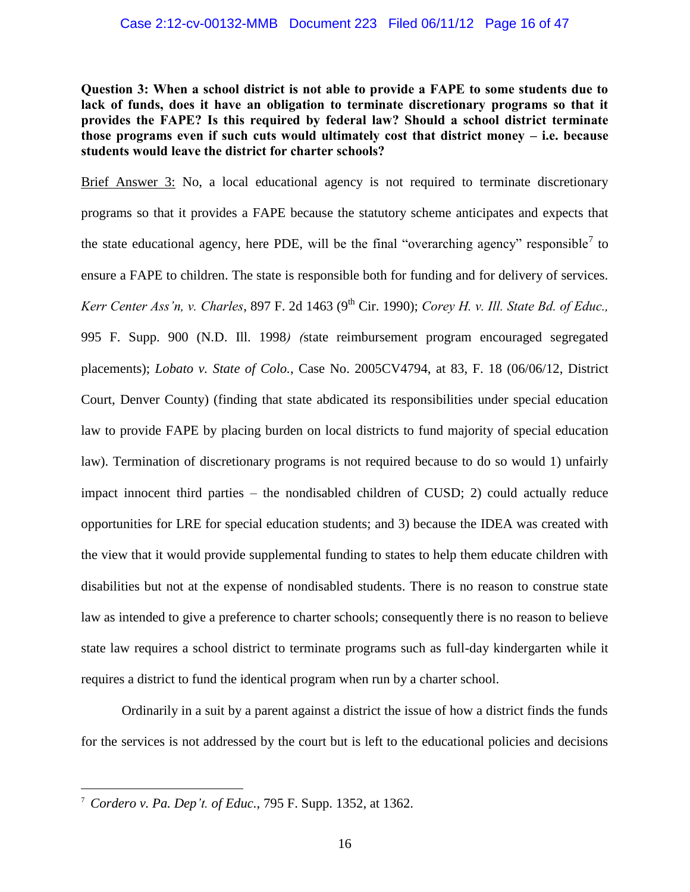## Case 2:12-cv-00132-MMB Document 223 Filed 06/11/12 Page 16 of 47

**Question 3: When a school district is not able to provide a FAPE to some students due to**  lack of funds, does it have an obligation to terminate discretionary programs so that it **provides the FAPE? Is this required by federal law? Should a school district terminate those programs even if such cuts would ultimately cost that district money – i.e. because students would leave the district for charter schools?** 

Brief Answer 3: No, a local educational agency is not required to terminate discretionary programs so that it provides a FAPE because the statutory scheme anticipates and expects that the state educational agency, here PDE, will be the final "overarching agency" responsible<sup>7</sup> to ensure a FAPE to children. The state is responsible both for funding and for delivery of services. *Kerr Center Ass'n, v. Charles, 897 F. 2d 1463 (9<sup>th</sup> Cir. 1990); <i>Corey H. v. Ill. State Bd. of Educ.,* 995 F. Supp. 900 (N.D. Ill. 1998*) (*state reimbursement program encouraged segregated placements); *Lobato v. State of Colo.*, Case No. 2005CV4794, at 83, F. 18 (06/06/12, District Court, Denver County) (finding that state abdicated its responsibilities under special education law to provide FAPE by placing burden on local districts to fund majority of special education law). Termination of discretionary programs is not required because to do so would 1) unfairly impact innocent third parties – the nondisabled children of CUSD; 2) could actually reduce opportunities for LRE for special education students; and 3) because the IDEA was created with the view that it would provide supplemental funding to states to help them educate children with disabilities but not at the expense of nondisabled students. There is no reason to construe state law as intended to give a preference to charter schools; consequently there is no reason to believe state law requires a school district to terminate programs such as full-day kindergarten while it requires a district to fund the identical program when run by a charter school.

Ordinarily in a suit by a parent against a district the issue of how a district finds the funds for the services is not addressed by the court but is left to the educational policies and decisions

<sup>7</sup> *Cordero v. Pa. Dep't. of Educ.*, 795 F. Supp. 1352, at 1362.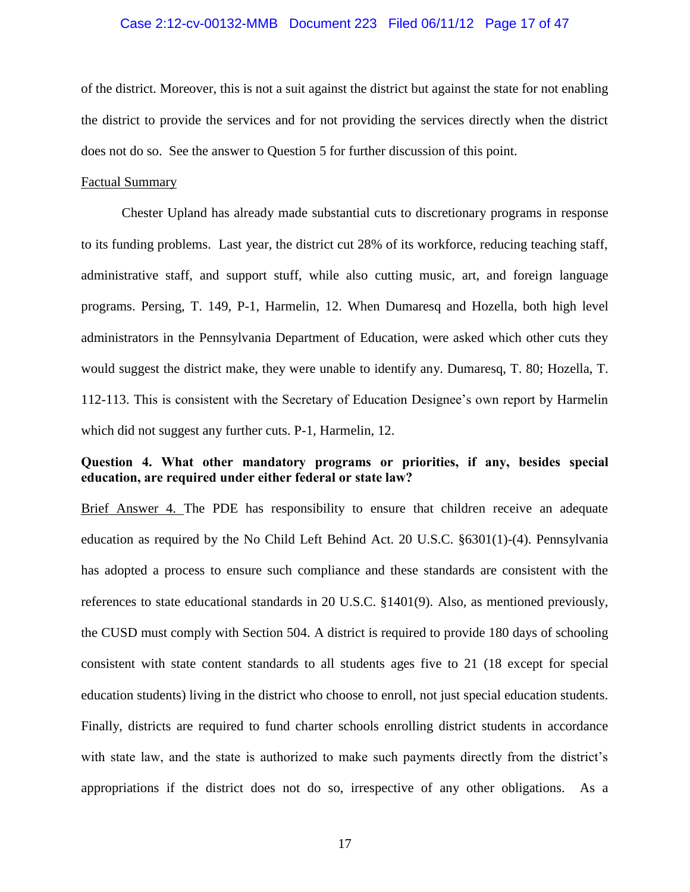## Case 2:12-cv-00132-MMB Document 223 Filed 06/11/12 Page 17 of 47

of the district. Moreover, this is not a suit against the district but against the state for not enabling the district to provide the services and for not providing the services directly when the district does not do so. See the answer to Question 5 for further discussion of this point.

## Factual Summary

Chester Upland has already made substantial cuts to discretionary programs in response to its funding problems. Last year, the district cut 28% of its workforce, reducing teaching staff, administrative staff, and support stuff, while also cutting music, art, and foreign language programs. Persing, T. 149, P-1, Harmelin, 12. When Dumaresq and Hozella, both high level administrators in the Pennsylvania Department of Education, were asked which other cuts they would suggest the district make, they were unable to identify any. Dumaresq, T. 80; Hozella, T. 112-113. This is consistent with the Secretary of Education Designee's own report by Harmelin which did not suggest any further cuts. P-1, Harmelin, 12.

## **Question 4. What other mandatory programs or priorities, if any, besides special education, are required under either federal or state law?**

Brief Answer 4. The PDE has responsibility to ensure that children receive an adequate education as required by the No Child Left Behind Act. 20 U.S.C. §6301(1)-(4). Pennsylvania has adopted a process to ensure such compliance and these standards are consistent with the references to state educational standards in 20 U.S.C. §1401(9). Also, as mentioned previously, the CUSD must comply with Section 504. A district is required to provide 180 days of schooling consistent with state content standards to all students ages five to 21 (18 except for special education students) living in the district who choose to enroll, not just special education students. Finally, districts are required to fund charter schools enrolling district students in accordance with state law, and the state is authorized to make such payments directly from the district's appropriations if the district does not do so, irrespective of any other obligations. As a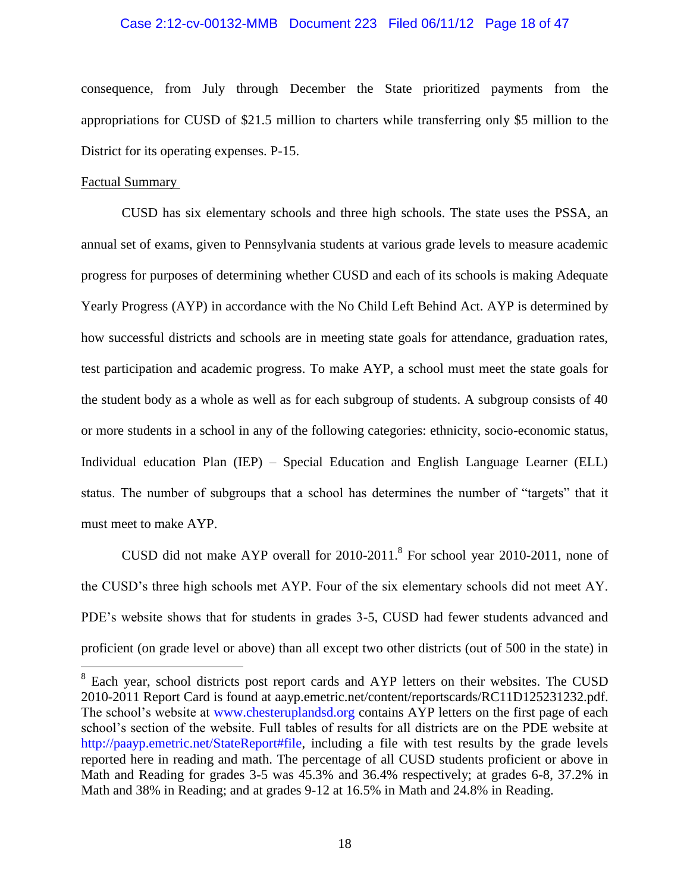#### Case 2:12-cv-00132-MMB Document 223 Filed 06/11/12 Page 18 of 47

consequence, from July through December the State prioritized payments from the appropriations for CUSD of \$21.5 million to charters while transferring only \$5 million to the District for its operating expenses. P-15.

## Factual Summary

 $\overline{a}$ 

CUSD has six elementary schools and three high schools. The state uses the PSSA, an annual set of exams, given to Pennsylvania students at various grade levels to measure academic progress for purposes of determining whether CUSD and each of its schools is making Adequate Yearly Progress (AYP) in accordance with the No Child Left Behind Act. AYP is determined by how successful districts and schools are in meeting state goals for attendance, graduation rates, test participation and academic progress. To make AYP, a school must meet the state goals for the student body as a whole as well as for each subgroup of students. A subgroup consists of 40 or more students in a school in any of the following categories: ethnicity, socio-economic status, Individual education Plan (IEP) – Special Education and English Language Learner (ELL) status. The number of subgroups that a school has determines the number of "targets" that it must meet to make AYP.

CUSD did not make AYP overall for  $2010-2011$ .<sup>8</sup> For school year  $2010-2011$ , none of the CUSD's three high schools met AYP. Four of the six elementary schools did not meet AY. PDE's website shows that for students in grades 3-5, CUSD had fewer students advanced and proficient (on grade level or above) than all except two other districts (out of 500 in the state) in

<sup>&</sup>lt;sup>8</sup> Each year, school districts post report cards and AYP letters on their websites. The CUSD 2010-2011 Report Card is found at aayp.emetric.net/content/reportscards/RC11D125231232.pdf. The school's website at [www.chesteruplandsd.org](http://www.chesteruplandsd.org/) contains AYP letters on the first page of each school's section of the website. Full tables of results for all districts are on the PDE website at [http://paayp.emetric.net/StateReport#file,](http://paayp.emetric.net/StateReport#file) including a file with test results by the grade levels reported here in reading and math. The percentage of all CUSD students proficient or above in Math and Reading for grades 3-5 was 45.3% and 36.4% respectively; at grades 6-8, 37.2% in Math and 38% in Reading; and at grades 9-12 at 16.5% in Math and 24.8% in Reading.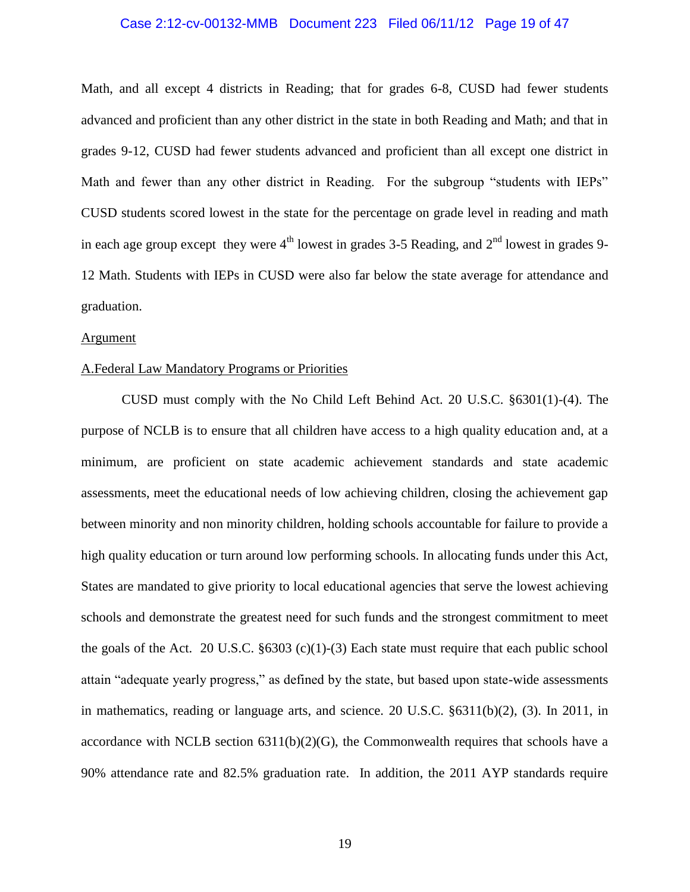## Case 2:12-cv-00132-MMB Document 223 Filed 06/11/12 Page 19 of 47

Math, and all except 4 districts in Reading; that for grades 6-8, CUSD had fewer students advanced and proficient than any other district in the state in both Reading and Math; and that in grades 9-12, CUSD had fewer students advanced and proficient than all except one district in Math and fewer than any other district in Reading. For the subgroup "students with IEPs" CUSD students scored lowest in the state for the percentage on grade level in reading and math in each age group except they were  $4<sup>th</sup>$  lowest in grades 3-5 Reading, and  $2<sup>nd</sup>$  lowest in grades 9-12 Math. Students with IEPs in CUSD were also far below the state average for attendance and graduation.

#### **Argument**

## A.Federal Law Mandatory Programs or Priorities

CUSD must comply with the No Child Left Behind Act. 20 U.S.C. §6301(1)-(4). The purpose of NCLB is to ensure that all children have access to a high quality education and, at a minimum, are proficient on state academic achievement standards and state academic assessments, meet the educational needs of low achieving children, closing the achievement gap between minority and non minority children, holding schools accountable for failure to provide a high quality education or turn around low performing schools. In allocating funds under this Act, States are mandated to give priority to local educational agencies that serve the lowest achieving schools and demonstrate the greatest need for such funds and the strongest commitment to meet the goals of the Act. 20 U.S.C.  $\S 6303$  (c)(1)-(3) Each state must require that each public school attain "adequate yearly progress," as defined by the state, but based upon state-wide assessments in mathematics, reading or language arts, and science. 20 U.S.C. §6311(b)(2), (3). In 2011, in accordance with NCLB section  $6311(b)(2)(G)$ , the Commonwealth requires that schools have a 90% attendance rate and 82.5% graduation rate. In addition, the 2011 AYP standards require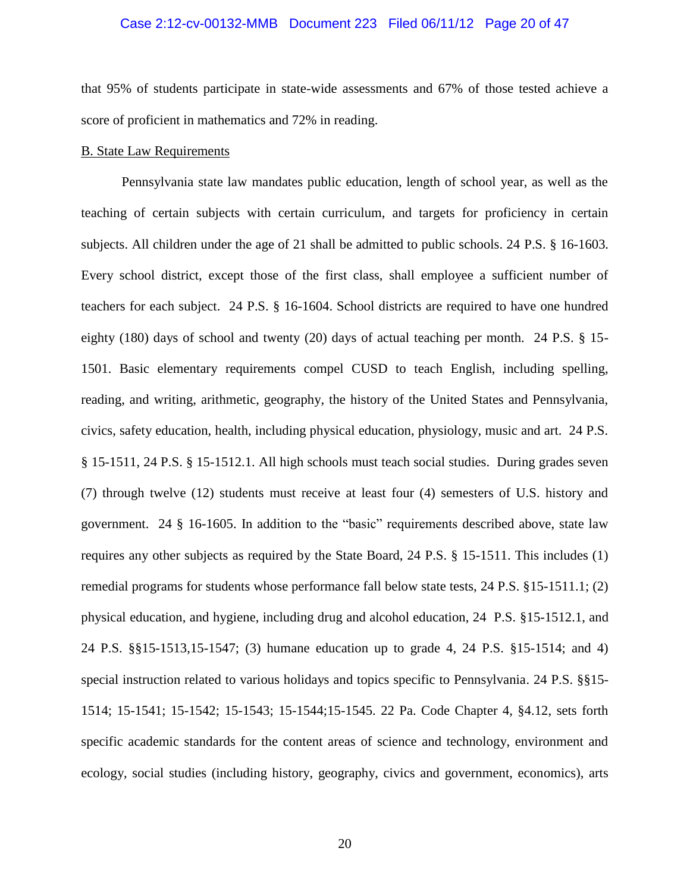## Case 2:12-cv-00132-MMB Document 223 Filed 06/11/12 Page 20 of 47

that 95% of students participate in state-wide assessments and 67% of those tested achieve a score of proficient in mathematics and 72% in reading.

## B. State Law Requirements

Pennsylvania state law mandates public education, length of school year, as well as the teaching of certain subjects with certain curriculum, and targets for proficiency in certain subjects. All children under the age of 21 shall be admitted to public schools. 24 P.S. § 16-1603. Every school district, except those of the first class, shall employee a sufficient number of teachers for each subject. 24 P.S. § 16-1604. School districts are required to have one hundred eighty (180) days of school and twenty (20) days of actual teaching per month. 24 P.S. § 15- 1501. Basic elementary requirements compel CUSD to teach English, including spelling, reading, and writing, arithmetic, geography, the history of the United States and Pennsylvania, civics, safety education, health, including physical education, physiology, music and art. 24 P.S. § 15-1511, 24 P.S. § 15-1512.1. All high schools must teach social studies. During grades seven (7) through twelve (12) students must receive at least four (4) semesters of U.S. history and government. 24 § 16-1605. In addition to the "basic" requirements described above, state law requires any other subjects as required by the State Board, 24 P.S. § 15-1511. This includes (1) remedial programs for students whose performance fall below state tests, 24 P.S. §15-1511.1; (2) physical education, and hygiene, including drug and alcohol education, 24 P.S. §15-1512.1, and 24 P.S. §§15-1513,15-1547; (3) humane education up to grade 4, 24 P.S. §15-1514; and 4) special instruction related to various holidays and topics specific to Pennsylvania. 24 P.S. §§15- 1514; 15-1541; 15-1542; 15-1543; 15-1544;15-1545. 22 Pa. Code Chapter 4, §4.12, sets forth specific academic standards for the content areas of science and technology, environment and ecology, social studies (including history, geography, civics and government, economics), arts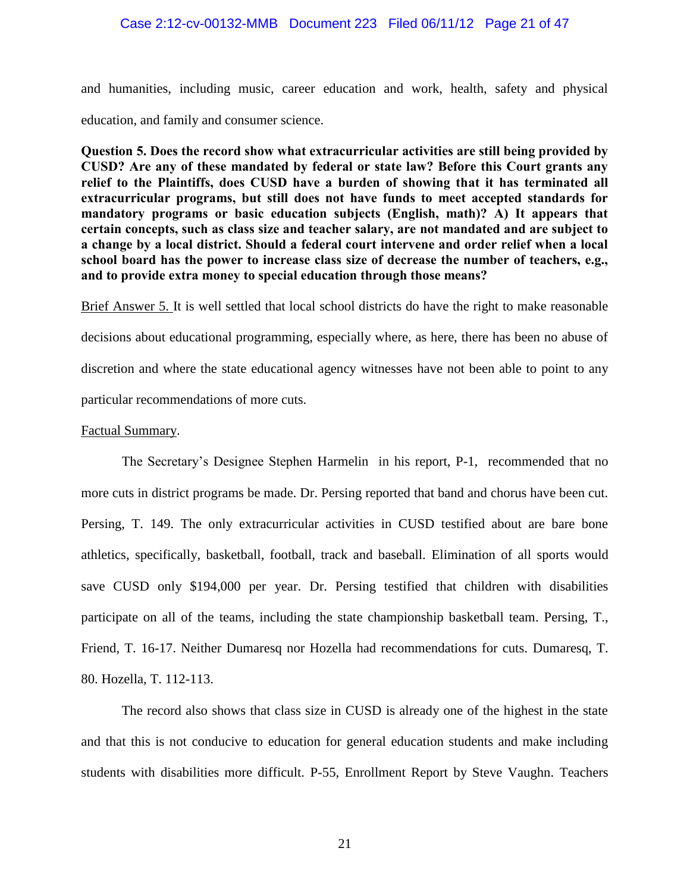## Case 2:12-cv-00132-MMB Document 223 Filed 06/11/12 Page 21 of 47

and humanities, including music, career education and work, health, safety and physical education, and family and consumer science.

**Question 5. Does the record show what extracurricular activities are still being provided by CUSD? Are any of these mandated by federal or state law? Before this Court grants any relief to the Plaintiffs, does CUSD have a burden of showing that it has terminated all extracurricular programs, but still does not have funds to meet accepted standards for mandatory programs or basic education subjects (English, math)? A) It appears that certain concepts, such as class size and teacher salary, are not mandated and are subject to a change by a local district. Should a federal court intervene and order relief when a local school board has the power to increase class size of decrease the number of teachers, e.g., and to provide extra money to special education through those means?**

Brief Answer 5. It is well settled that local school districts do have the right to make reasonable decisions about educational programming, especially where, as here, there has been no abuse of discretion and where the state educational agency witnesses have not been able to point to any particular recommendations of more cuts.

## Factual Summary.

The Secretary's Designee Stephen Harmelin in his report, P-1, recommended that no more cuts in district programs be made. Dr. Persing reported that band and chorus have been cut. Persing, T. 149. The only extracurricular activities in CUSD testified about are bare bone athletics, specifically, basketball, football, track and baseball. Elimination of all sports would save CUSD only \$194,000 per year. Dr. Persing testified that children with disabilities participate on all of the teams, including the state championship basketball team. Persing, T., Friend, T. 16-17. Neither Dumaresq nor Hozella had recommendations for cuts. Dumaresq, T. 80. Hozella, T. 112-113.

The record also shows that class size in CUSD is already one of the highest in the state and that this is not conducive to education for general education students and make including students with disabilities more difficult. P-55, Enrollment Report by Steve Vaughn. Teachers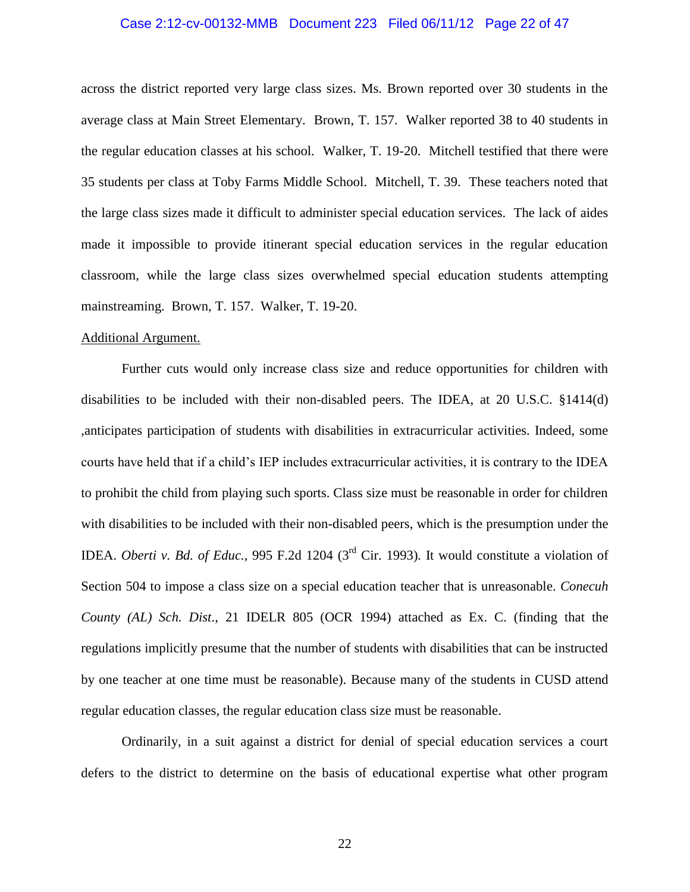## Case 2:12-cv-00132-MMB Document 223 Filed 06/11/12 Page 22 of 47

across the district reported very large class sizes. Ms. Brown reported over 30 students in the average class at Main Street Elementary. Brown, T. 157. Walker reported 38 to 40 students in the regular education classes at his school. Walker, T. 19-20. Mitchell testified that there were 35 students per class at Toby Farms Middle School. Mitchell, T. 39. These teachers noted that the large class sizes made it difficult to administer special education services. The lack of aides made it impossible to provide itinerant special education services in the regular education classroom, while the large class sizes overwhelmed special education students attempting mainstreaming. Brown, T. 157. Walker, T. 19-20.

## Additional Argument.

Further cuts would only increase class size and reduce opportunities for children with disabilities to be included with their non-disabled peers. The IDEA, at 20 U.S.C. §1414(d) ,anticipates participation of students with disabilities in extracurricular activities. Indeed, some courts have held that if a child's IEP includes extracurricular activities, it is contrary to the IDEA to prohibit the child from playing such sports. Class size must be reasonable in order for children with disabilities to be included with their non-disabled peers, which is the presumption under the IDEA. *Oberti v. Bd. of Educ.,* 995 F.2d 1204 (3rd Cir. 1993)*.* It would constitute a violation of Section 504 to impose a class size on a special education teacher that is unreasonable. *Conecuh County (AL) Sch. Dist*., 21 IDELR 805 (OCR 1994) attached as Ex. C. (finding that the regulations implicitly presume that the number of students with disabilities that can be instructed by one teacher at one time must be reasonable). Because many of the students in CUSD attend regular education classes, the regular education class size must be reasonable.

Ordinarily, in a suit against a district for denial of special education services a court defers to the district to determine on the basis of educational expertise what other program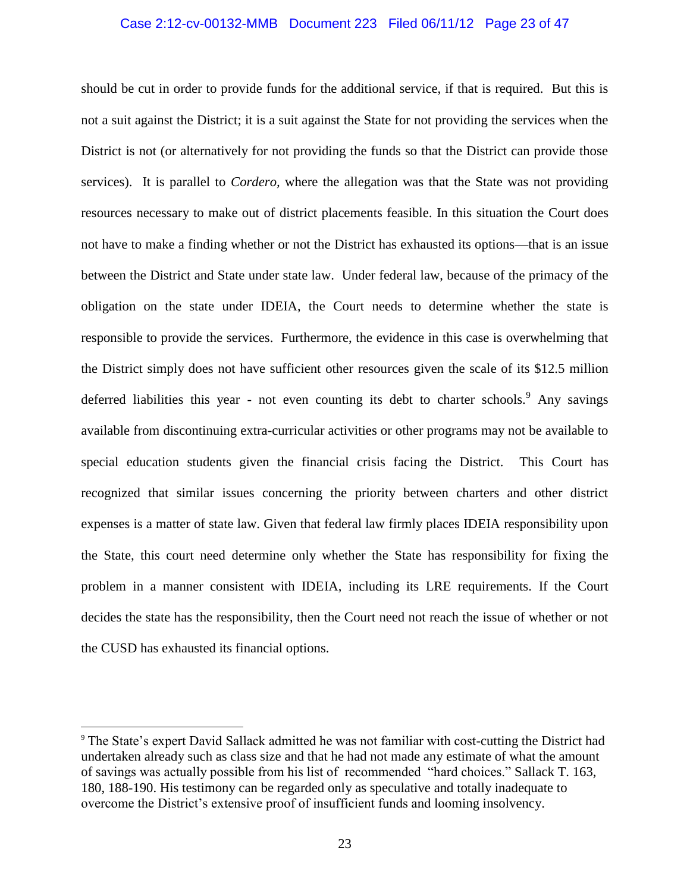## Case 2:12-cv-00132-MMB Document 223 Filed 06/11/12 Page 23 of 47

should be cut in order to provide funds for the additional service, if that is required. But this is not a suit against the District; it is a suit against the State for not providing the services when the District is not (or alternatively for not providing the funds so that the District can provide those services). It is parallel to *Cordero,* where the allegation was that the State was not providing resources necessary to make out of district placements feasible. In this situation the Court does not have to make a finding whether or not the District has exhausted its options—that is an issue between the District and State under state law. Under federal law, because of the primacy of the obligation on the state under IDEIA, the Court needs to determine whether the state is responsible to provide the services. Furthermore, the evidence in this case is overwhelming that the District simply does not have sufficient other resources given the scale of its \$12.5 million deferred liabilities this year - not even counting its debt to charter schools.<sup>9</sup> Any savings available from discontinuing extra-curricular activities or other programs may not be available to special education students given the financial crisis facing the District. This Court has recognized that similar issues concerning the priority between charters and other district expenses is a matter of state law. Given that federal law firmly places IDEIA responsibility upon the State, this court need determine only whether the State has responsibility for fixing the problem in a manner consistent with IDEIA, including its LRE requirements. If the Court decides the state has the responsibility, then the Court need not reach the issue of whether or not the CUSD has exhausted its financial options.

<sup>9</sup> The State's expert David Sallack admitted he was not familiar with cost-cutting the District had undertaken already such as class size and that he had not made any estimate of what the amount of savings was actually possible from his list of recommended "hard choices." Sallack T. 163, 180, 188-190. His testimony can be regarded only as speculative and totally inadequate to overcome the District's extensive proof of insufficient funds and looming insolvency.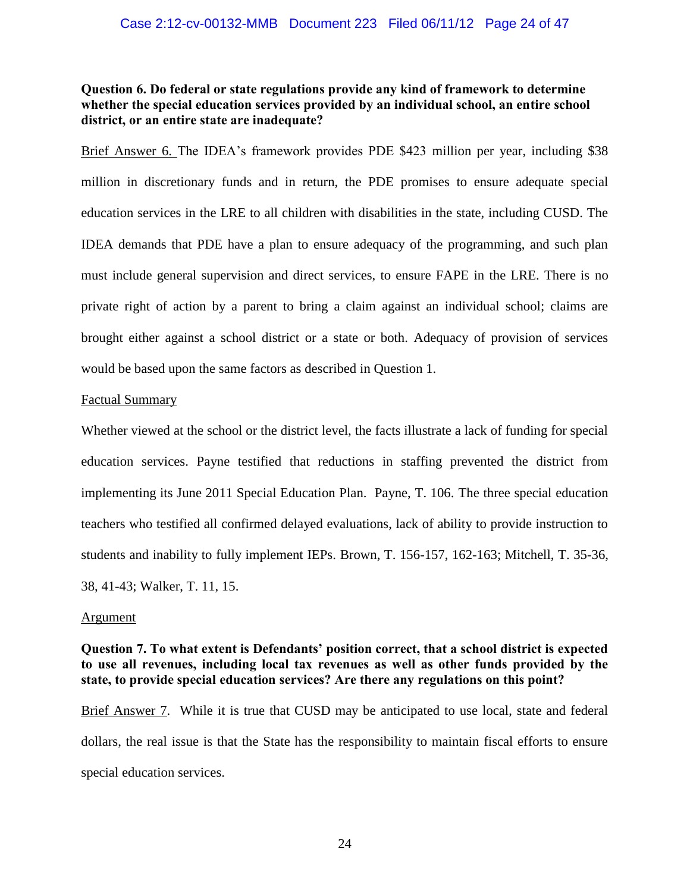## **Question 6. Do federal or state regulations provide any kind of framework to determine whether the special education services provided by an individual school, an entire school district, or an entire state are inadequate?**

Brief Answer 6. The IDEA's framework provides PDE \$423 million per year, including \$38 million in discretionary funds and in return, the PDE promises to ensure adequate special education services in the LRE to all children with disabilities in the state, including CUSD. The IDEA demands that PDE have a plan to ensure adequacy of the programming, and such plan must include general supervision and direct services, to ensure FAPE in the LRE. There is no private right of action by a parent to bring a claim against an individual school; claims are brought either against a school district or a state or both. Adequacy of provision of services would be based upon the same factors as described in Question 1.

## Factual Summary

Whether viewed at the school or the district level, the facts illustrate a lack of funding for special education services. Payne testified that reductions in staffing prevented the district from implementing its June 2011 Special Education Plan. Payne, T. 106. The three special education teachers who testified all confirmed delayed evaluations, lack of ability to provide instruction to students and inability to fully implement IEPs. Brown, T. 156-157, 162-163; Mitchell, T. 35-36, 38, 41-43; Walker, T. 11, 15.

## Argument

## **Question 7. To what extent is Defendants' position correct, that a school district is expected to use all revenues, including local tax revenues as well as other funds provided by the state, to provide special education services? Are there any regulations on this point?**

Brief Answer 7. While it is true that CUSD may be anticipated to use local, state and federal dollars, the real issue is that the State has the responsibility to maintain fiscal efforts to ensure special education services.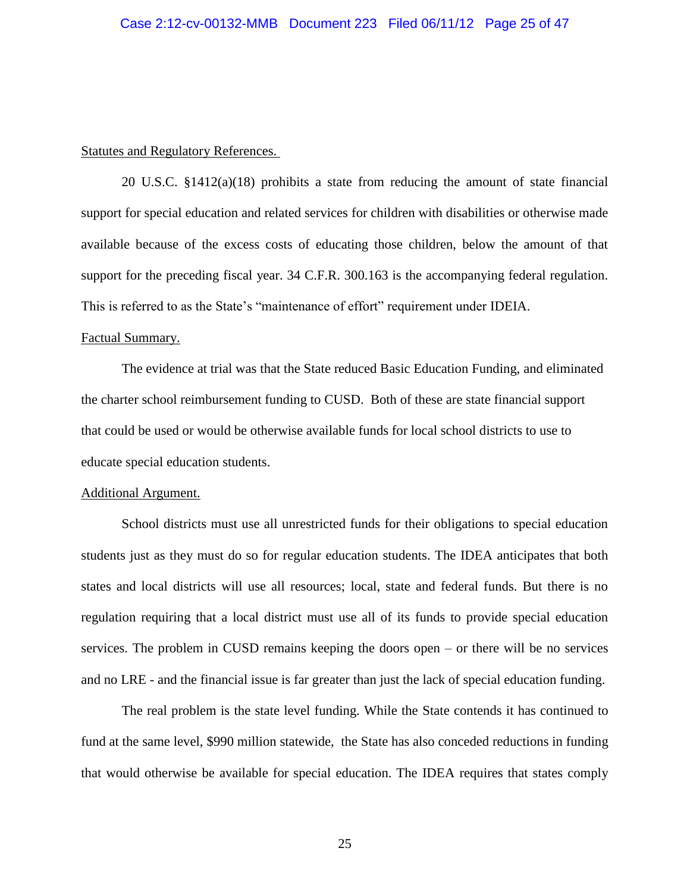## Statutes and Regulatory References.

20 U.S.C. §1412(a)(18) prohibits a state from reducing the amount of state financial support for special education and related services for children with disabilities or otherwise made available because of the excess costs of educating those children, below the amount of that support for the preceding fiscal year. 34 C.F.R. 300.163 is the accompanying federal regulation. This is referred to as the State's "maintenance of effort" requirement under IDEIA.

## Factual Summary.

The evidence at trial was that the State reduced Basic Education Funding, and eliminated the charter school reimbursement funding to CUSD. Both of these are state financial support that could be used or would be otherwise available funds for local school districts to use to educate special education students.

#### Additional Argument.

School districts must use all unrestricted funds for their obligations to special education students just as they must do so for regular education students. The IDEA anticipates that both states and local districts will use all resources; local, state and federal funds. But there is no regulation requiring that a local district must use all of its funds to provide special education services. The problem in CUSD remains keeping the doors open – or there will be no services and no LRE - and the financial issue is far greater than just the lack of special education funding.

The real problem is the state level funding. While the State contends it has continued to fund at the same level, \$990 million statewide, the State has also conceded reductions in funding that would otherwise be available for special education. The IDEA requires that states comply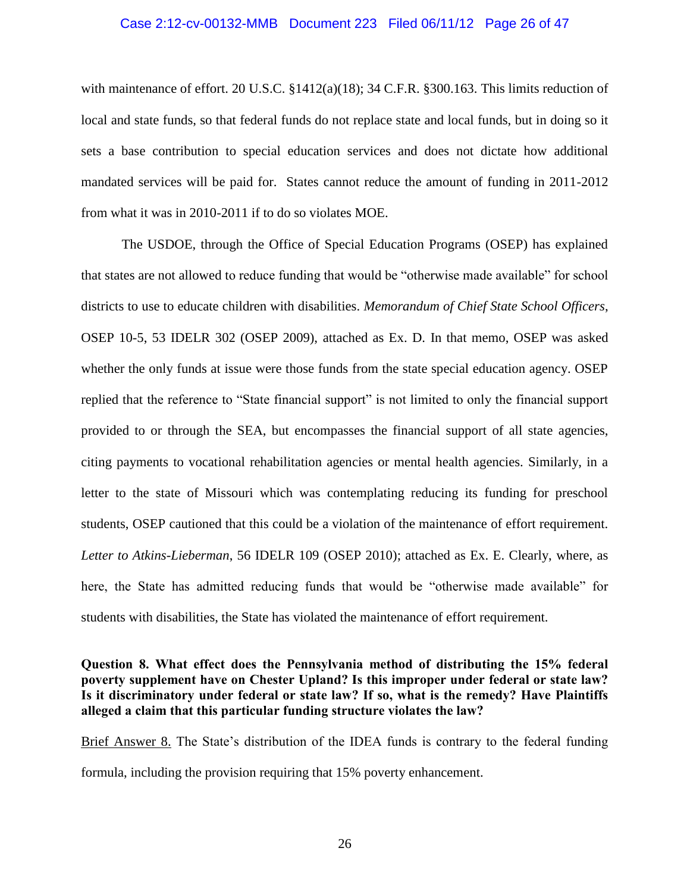### Case 2:12-cv-00132-MMB Document 223 Filed 06/11/12 Page 26 of 47

with maintenance of effort. 20 U.S.C. §1412(a)(18); 34 C.F.R. §300.163. This limits reduction of local and state funds, so that federal funds do not replace state and local funds, but in doing so it sets a base contribution to special education services and does not dictate how additional mandated services will be paid for. States cannot reduce the amount of funding in 2011-2012 from what it was in 2010-2011 if to do so violates MOE.

The USDOE, through the Office of Special Education Programs (OSEP) has explained that states are not allowed to reduce funding that would be "otherwise made available" for school districts to use to educate children with disabilities. *Memorandum of Chief State School Officers*, OSEP 10-5, 53 IDELR 302 (OSEP 2009), attached as Ex. D. In that memo, OSEP was asked whether the only funds at issue were those funds from the state special education agency. OSEP replied that the reference to "State financial support" is not limited to only the financial support provided to or through the SEA, but encompasses the financial support of all state agencies, citing payments to vocational rehabilitation agencies or mental health agencies. Similarly, in a letter to the state of Missouri which was contemplating reducing its funding for preschool students, OSEP cautioned that this could be a violation of the maintenance of effort requirement. *Letter to Atkins-Lieberman*, 56 IDELR 109 (OSEP 2010); attached as Ex. E. Clearly, where, as here, the State has admitted reducing funds that would be "otherwise made available" for students with disabilities, the State has violated the maintenance of effort requirement.

## **Question 8. What effect does the Pennsylvania method of distributing the 15% federal poverty supplement have on Chester Upland? Is this improper under federal or state law? Is it discriminatory under federal or state law? If so, what is the remedy? Have Plaintiffs alleged a claim that this particular funding structure violates the law?**

Brief Answer 8. The State's distribution of the IDEA funds is contrary to the federal funding formula, including the provision requiring that 15% poverty enhancement.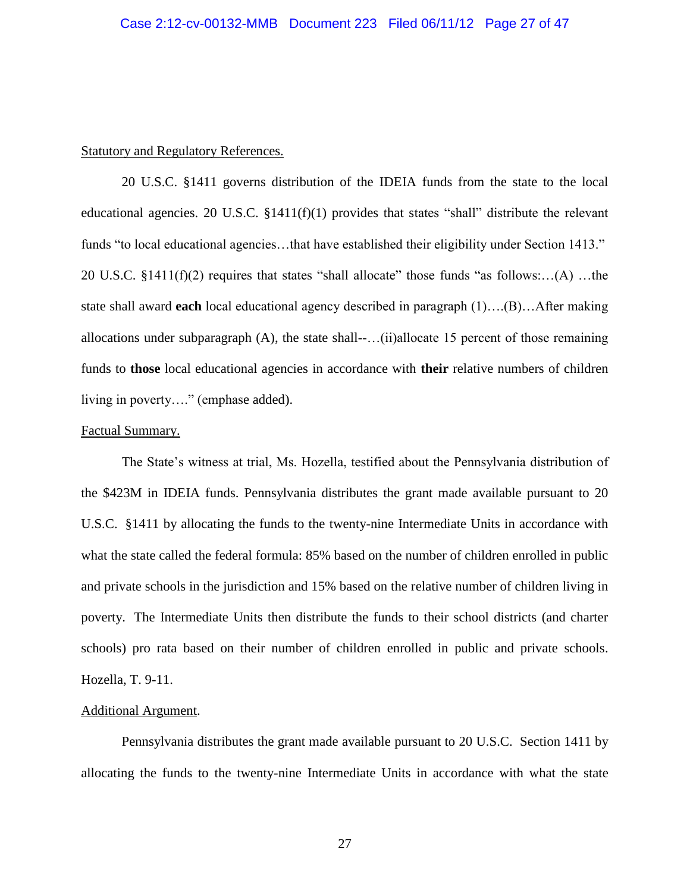## Statutory and Regulatory References.

20 U.S.C. §1411 governs distribution of the IDEIA funds from the state to the local educational agencies. 20 U.S.C. §1411(f)(1) provides that states "shall" distribute the relevant funds "to local educational agencies…that have established their eligibility under Section 1413." 20 U.S.C. §1411(f)(2) requires that states "shall allocate" those funds "as follows:…(A) …the state shall award **each** local educational agency described in paragraph (1)….(B)…After making allocations under subparagraph (A), the state shall--…(ii)allocate 15 percent of those remaining funds to **those** local educational agencies in accordance with **their** relative numbers of children living in poverty…." (emphase added).

## Factual Summary.

The State's witness at trial, Ms. Hozella, testified about the Pennsylvania distribution of the \$423M in IDEIA funds. Pennsylvania distributes the grant made available pursuant to 20 U.S.C. §1411 by allocating the funds to the twenty-nine Intermediate Units in accordance with what the state called the federal formula: 85% based on the number of children enrolled in public and private schools in the jurisdiction and 15% based on the relative number of children living in poverty. The Intermediate Units then distribute the funds to their school districts (and charter schools) pro rata based on their number of children enrolled in public and private schools. Hozella, T. 9-11.

## Additional Argument.

Pennsylvania distributes the grant made available pursuant to 20 U.S.C. Section 1411 by allocating the funds to the twenty-nine Intermediate Units in accordance with what the state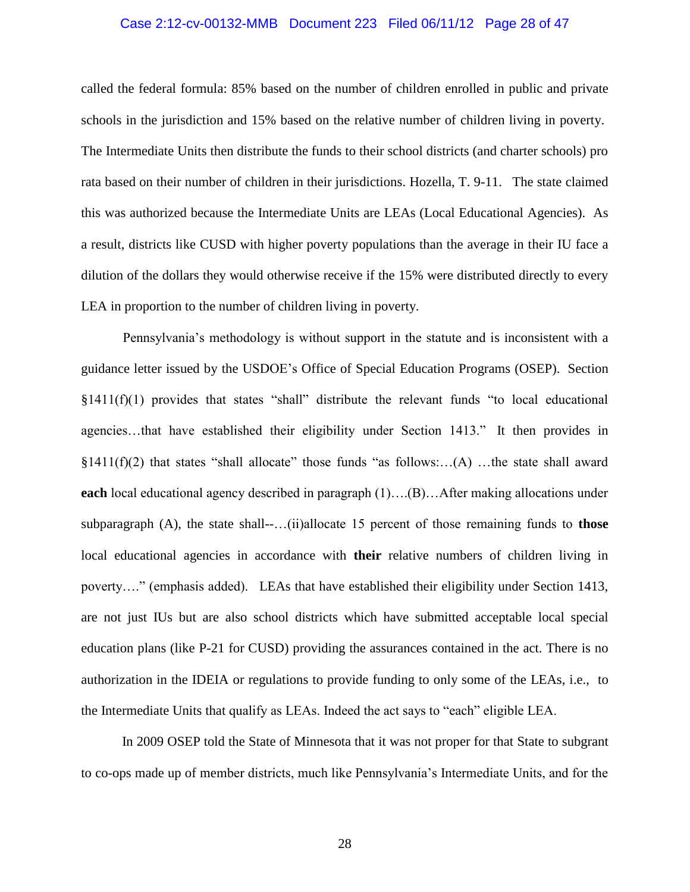## Case 2:12-cv-00132-MMB Document 223 Filed 06/11/12 Page 28 of 47

called the federal formula: 85% based on the number of children enrolled in public and private schools in the jurisdiction and 15% based on the relative number of children living in poverty. The Intermediate Units then distribute the funds to their school districts (and charter schools) pro rata based on their number of children in their jurisdictions. Hozella, T. 9-11. The state claimed this was authorized because the Intermediate Units are LEAs (Local Educational Agencies). As a result, districts like CUSD with higher poverty populations than the average in their IU face a dilution of the dollars they would otherwise receive if the 15% were distributed directly to every LEA in proportion to the number of children living in poverty.

 Pennsylvania's methodology is without support in the statute and is inconsistent with a guidance letter issued by the USDOE's Office of Special Education Programs (OSEP). Section  $§1411(f)(1)$  provides that states "shall" distribute the relevant funds "to local educational agencies…that have established their eligibility under Section 1413." It then provides in  $§1411(f)(2)$  that states "shall allocate" those funds "as follows:...(A) ...the state shall award **each** local educational agency described in paragraph (1)….(B)…After making allocations under subparagraph (A), the state shall--…(ii)allocate 15 percent of those remaining funds to **those** local educational agencies in accordance with **their** relative numbers of children living in poverty…." (emphasis added). LEAs that have established their eligibility under Section 1413, are not just IUs but are also school districts which have submitted acceptable local special education plans (like P-21 for CUSD) providing the assurances contained in the act. There is no authorization in the IDEIA or regulations to provide funding to only some of the LEAs, i.e., to the Intermediate Units that qualify as LEAs. Indeed the act says to "each" eligible LEA.

 In 2009 OSEP told the State of Minnesota that it was not proper for that State to subgrant to co-ops made up of member districts, much like Pennsylvania's Intermediate Units, and for the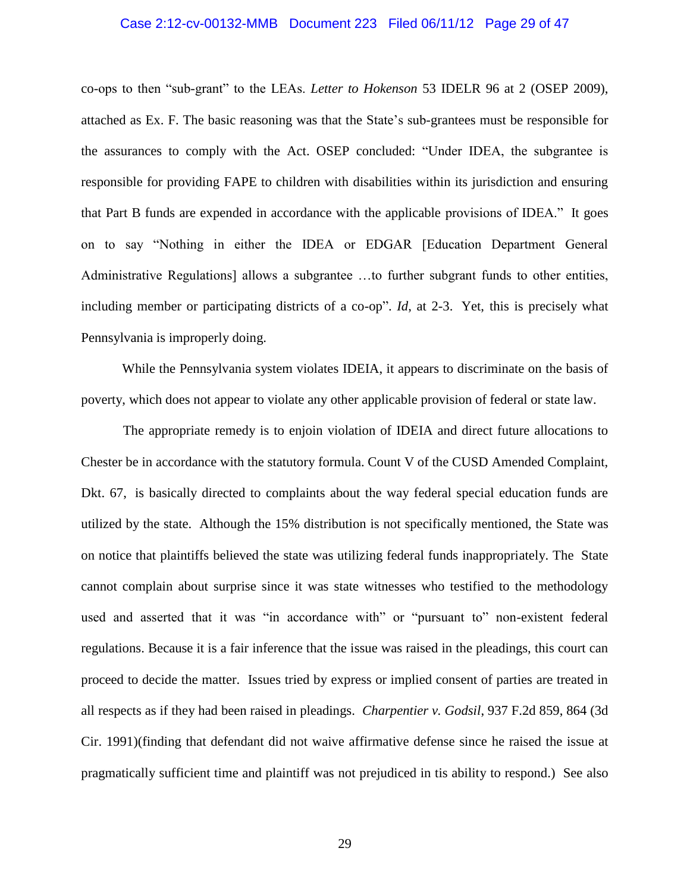## Case 2:12-cv-00132-MMB Document 223 Filed 06/11/12 Page 29 of 47

co-ops to then "sub-grant" to the LEAs. *Letter to Hokenson* 53 IDELR 96 at 2 (OSEP 2009), attached as Ex. F. The basic reasoning was that the State's sub-grantees must be responsible for the assurances to comply with the Act. OSEP concluded: "Under IDEA, the subgrantee is responsible for providing FAPE to children with disabilities within its jurisdiction and ensuring that Part B funds are expended in accordance with the applicable provisions of IDEA." It goes on to say "Nothing in either the IDEA or EDGAR [Education Department General Administrative Regulations] allows a subgrantee ...to further subgrant funds to other entities, including member or participating districts of a co-op". *Id*, at 2-3. Yet, this is precisely what Pennsylvania is improperly doing.

 While the Pennsylvania system violates IDEIA, it appears to discriminate on the basis of poverty, which does not appear to violate any other applicable provision of federal or state law.

 The appropriate remedy is to enjoin violation of IDEIA and direct future allocations to Chester be in accordance with the statutory formula. Count V of the CUSD Amended Complaint, Dkt. 67, is basically directed to complaints about the way federal special education funds are utilized by the state. Although the 15% distribution is not specifically mentioned, the State was on notice that plaintiffs believed the state was utilizing federal funds inappropriately. The State cannot complain about surprise since it was state witnesses who testified to the methodology used and asserted that it was "in accordance with" or "pursuant to" non-existent federal regulations. Because it is a fair inference that the issue was raised in the pleadings, this court can proceed to decide the matter. Issues tried by express or implied consent of parties are treated in all respects as if they had been raised in pleadings. *Charpentier v. Godsil*, 937 F.2d 859, 864 (3d Cir. 1991)(finding that defendant did not waive affirmative defense since he raised the issue at pragmatically sufficient time and plaintiff was not prejudiced in tis ability to respond.) See also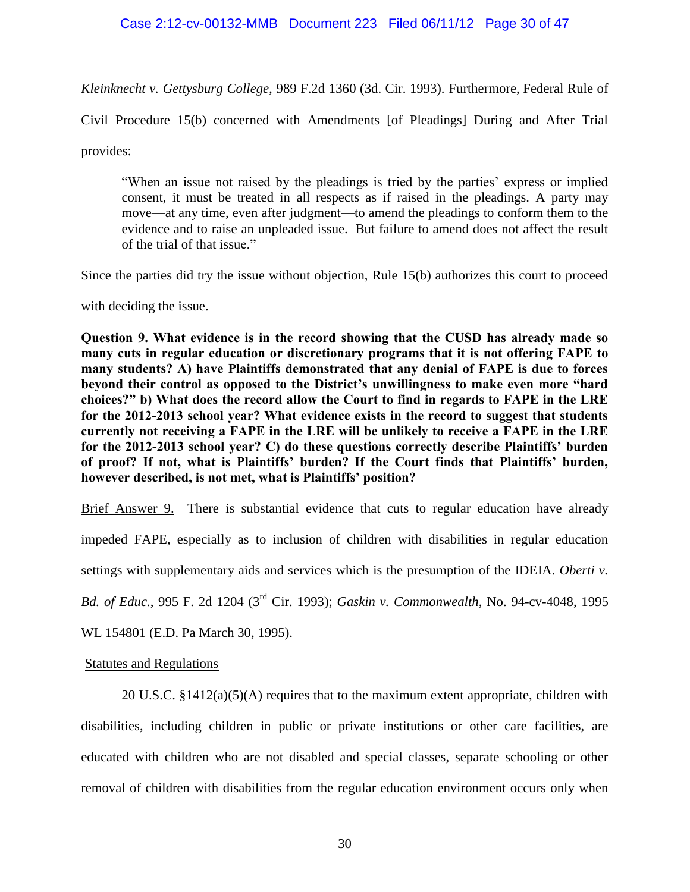## Case 2:12-cv-00132-MMB Document 223 Filed 06/11/12 Page 30 of 47

*Kleinknecht v. Gettysburg College,* 989 F.2d 1360 (3d. Cir. 1993). Furthermore, Federal Rule of

Civil Procedure 15(b) concerned with Amendments [of Pleadings] During and After Trial

provides:

"When an issue not raised by the pleadings is tried by the parties' express or implied consent, it must be treated in all respects as if raised in the pleadings. A party may move—at any time, even after judgment—to amend the pleadings to conform them to the evidence and to raise an unpleaded issue. But failure to amend does not affect the result of the trial of that issue."

Since the parties did try the issue without objection, Rule 15(b) authorizes this court to proceed

with deciding the issue.

**Question 9. What evidence is in the record showing that the CUSD has already made so many cuts in regular education or discretionary programs that it is not offering FAPE to many students? A) have Plaintiffs demonstrated that any denial of FAPE is due to forces beyond their control as opposed to the District's unwillingness to make even more "hard choices?" b) What does the record allow the Court to find in regards to FAPE in the LRE for the 2012-2013 school year? What evidence exists in the record to suggest that students currently not receiving a FAPE in the LRE will be unlikely to receive a FAPE in the LRE for the 2012-2013 school year? C) do these questions correctly describe Plaintiffs' burden of proof? If not, what is Plaintiffs' burden? If the Court finds that Plaintiffs' burden, however described, is not met, what is Plaintiffs' position?**

Brief Answer 9. There is substantial evidence that cuts to regular education have already

impeded FAPE, especially as to inclusion of children with disabilities in regular education

settings with supplementary aids and services which is the presumption of the IDEIA. *Oberti v.* 

*Bd. of Educ.*, 995 F. 2d 1204 (3rd Cir. 1993); *Gaskin v. Commonwealth*, No. 94-cv-4048, 1995

WL 154801 (E.D. Pa March 30, 1995).

## Statutes and Regulations

20 U.S.C. §1412(a)(5)(A) requires that to the maximum extent appropriate, children with disabilities, including children in public or private institutions or other care facilities, are educated with children who are not disabled and special classes, separate schooling or other removal of children with disabilities from the regular education environment occurs only when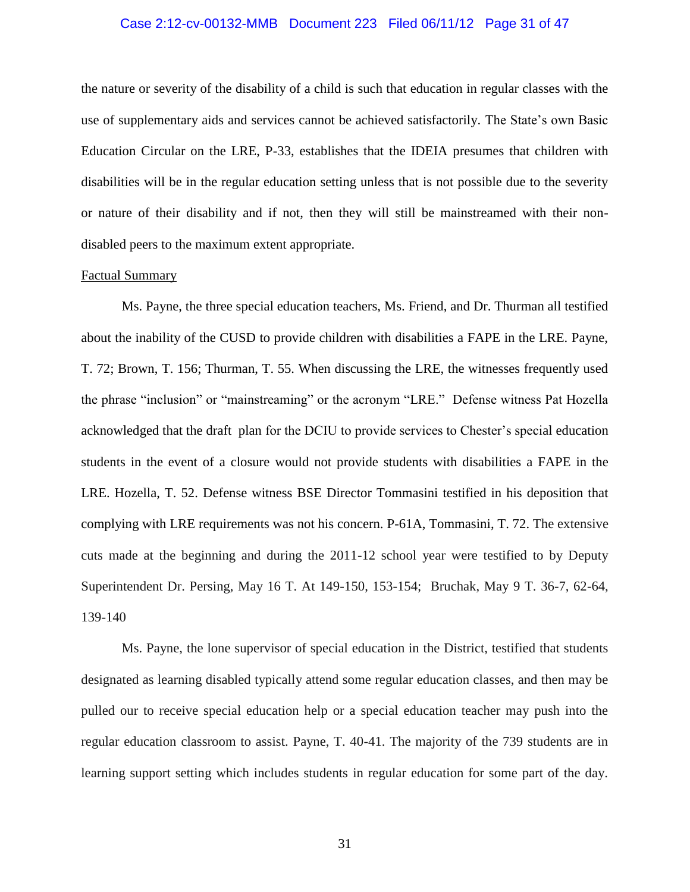## Case 2:12-cv-00132-MMB Document 223 Filed 06/11/12 Page 31 of 47

the nature or severity of the disability of a child is such that education in regular classes with the use of supplementary aids and services cannot be achieved satisfactorily. The State's own Basic Education Circular on the LRE, P-33, establishes that the IDEIA presumes that children with disabilities will be in the regular education setting unless that is not possible due to the severity or nature of their disability and if not, then they will still be mainstreamed with their nondisabled peers to the maximum extent appropriate.

## Factual Summary

Ms. Payne, the three special education teachers, Ms. Friend, and Dr. Thurman all testified about the inability of the CUSD to provide children with disabilities a FAPE in the LRE. Payne, T. 72; Brown, T. 156; Thurman, T. 55. When discussing the LRE, the witnesses frequently used the phrase "inclusion" or "mainstreaming" or the acronym "LRE." Defense witness Pat Hozella acknowledged that the draft plan for the DCIU to provide services to Chester's special education students in the event of a closure would not provide students with disabilities a FAPE in the LRE. Hozella, T. 52. Defense witness BSE Director Tommasini testified in his deposition that complying with LRE requirements was not his concern. P-61A, Tommasini, T. 72. The extensive cuts made at the beginning and during the 2011-12 school year were testified to by Deputy Superintendent Dr. Persing, May 16 T. At 149-150, 153-154; Bruchak, May 9 T. 36-7, 62-64, 139-140

Ms. Payne, the lone supervisor of special education in the District, testified that students designated as learning disabled typically attend some regular education classes, and then may be pulled our to receive special education help or a special education teacher may push into the regular education classroom to assist. Payne, T. 40-41. The majority of the 739 students are in learning support setting which includes students in regular education for some part of the day.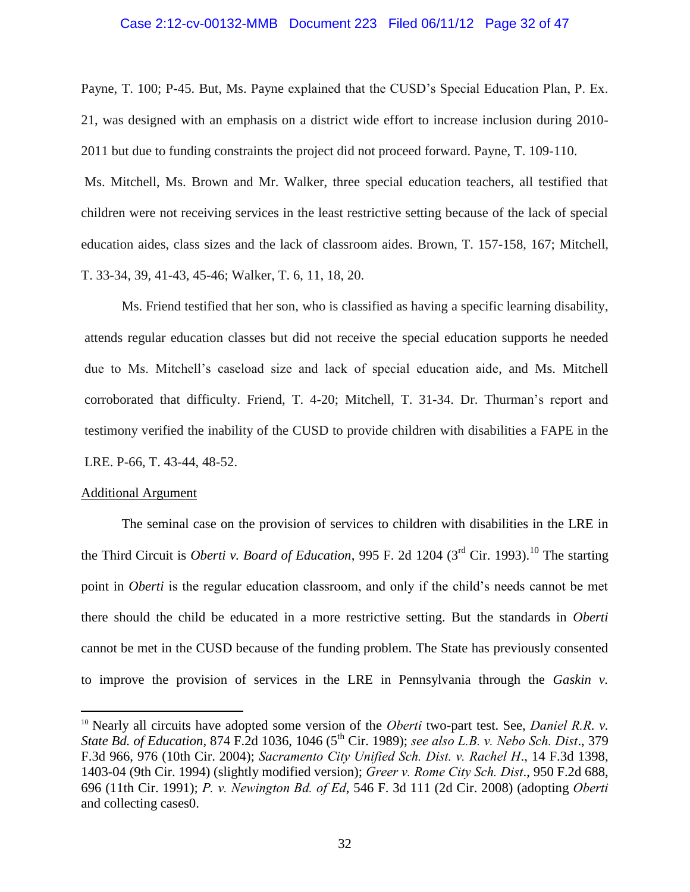#### Case 2:12-cv-00132-MMB Document 223 Filed 06/11/12 Page 32 of 47

Payne, T. 100; P-45. But, Ms. Payne explained that the CUSD's Special Education Plan, P. Ex. 21, was designed with an emphasis on a district wide effort to increase inclusion during 2010- 2011 but due to funding constraints the project did not proceed forward. Payne, T. 109-110.

Ms. Mitchell, Ms. Brown and Mr. Walker, three special education teachers, all testified that children were not receiving services in the least restrictive setting because of the lack of special education aides, class sizes and the lack of classroom aides. Brown, T. 157-158, 167; Mitchell, T. 33-34, 39, 41-43, 45-46; Walker, T. 6, 11, 18, 20.

Ms. Friend testified that her son, who is classified as having a specific learning disability, attends regular education classes but did not receive the special education supports he needed due to Ms. Mitchell's caseload size and lack of special education aide, and Ms. Mitchell corroborated that difficulty. Friend, T. 4-20; Mitchell, T. 31-34. Dr. Thurman's report and testimony verified the inability of the CUSD to provide children with disabilities a FAPE in the LRE. P-66, T. 43-44, 48-52.

#### Additional Argument

 $\overline{a}$ 

The seminal case on the provision of services to children with disabilities in the LRE in the Third Circuit is *Oberti v. Board of Education*, 995 F. 2d 1204 (3<sup>rd</sup> Cir. 1993).<sup>10</sup> The starting point in *Oberti* is the regular education classroom, and only if the child's needs cannot be met there should the child be educated in a more restrictive setting. But the standards in *Oberti* cannot be met in the CUSD because of the funding problem. The State has previously consented to improve the provision of services in the LRE in Pennsylvania through the *Gaskin v.* 

<sup>10</sup> Nearly all circuits have adopted some version of the *Oberti* two-part test. See, *[Daniel R.R](https://www.lexis.com/research/buttonTFLink?_m=00ea681738e4fc1989cdeb645dd7b38e&_xfercite=%3ccite%20cc%3d%22USA%22%3e%3c%21%5bCDATA%5b546%20F.3d%20111%5d%5d%3e%3c%2fcite%3e&_butType=3&_butStat=2&_butNum=71&_butInline=1&_butinfo=%3ccite%20cc%3d%22USA%22%3e%3c%21%5bCDATA%5b874%20F.2d%201036%2c%201046%5d%5d%3e%3c%2fcite%3e&_fmtstr=FULL&docnum=1&_startdoc=1&wchp=dGLzVzk-zSkAl&_md5=b528798566b98d0e9b0b2ac92f5956b9). v. State Bd. of Education,* [874 F.2d 1036, 1046 \(5](https://www.lexis.com/research/buttonTFLink?_m=00ea681738e4fc1989cdeb645dd7b38e&_xfercite=%3ccite%20cc%3d%22USA%22%3e%3c%21%5bCDATA%5b546%20F.3d%20111%5d%5d%3e%3c%2fcite%3e&_butType=3&_butStat=2&_butNum=71&_butInline=1&_butinfo=%3ccite%20cc%3d%22USA%22%3e%3c%21%5bCDATA%5b874%20F.2d%201036%2c%201046%5d%5d%3e%3c%2fcite%3e&_fmtstr=FULL&docnum=1&_startdoc=1&wchp=dGLzVzk-zSkAl&_md5=b528798566b98d0e9b0b2ac92f5956b9)th Cir. 1989); *see also [L.B. v. Nebo Sch. Dist](https://www.lexis.com/research/buttonTFLink?_m=00ea681738e4fc1989cdeb645dd7b38e&_xfercite=%3ccite%20cc%3d%22USA%22%3e%3c%21%5bCDATA%5b546%20F.3d%20111%5d%5d%3e%3c%2fcite%3e&_butType=3&_butStat=2&_butNum=73&_butInline=1&_butinfo=%3ccite%20cc%3d%22USA%22%3e%3c%21%5bCDATA%5b379%20F.3d%20966%2c%20976%5d%5d%3e%3c%2fcite%3e&_fmtstr=FULL&docnum=1&_startdoc=1&wchp=dGLzVzk-zSkAl&_md5=6c0c5fc85ba51edcbb43437d92173bb1)*., 379 [F.3d 966, 976 \(10th Cir. 2004\);](https://www.lexis.com/research/buttonTFLink?_m=00ea681738e4fc1989cdeb645dd7b38e&_xfercite=%3ccite%20cc%3d%22USA%22%3e%3c%21%5bCDATA%5b546%20F.3d%20111%5d%5d%3e%3c%2fcite%3e&_butType=3&_butStat=2&_butNum=73&_butInline=1&_butinfo=%3ccite%20cc%3d%22USA%22%3e%3c%21%5bCDATA%5b379%20F.3d%20966%2c%20976%5d%5d%3e%3c%2fcite%3e&_fmtstr=FULL&docnum=1&_startdoc=1&wchp=dGLzVzk-zSkAl&_md5=6c0c5fc85ba51edcbb43437d92173bb1) *[Sacramento City Unified Sch. Dist. v. Rachel H](https://www.lexis.com/research/buttonTFLink?_m=00ea681738e4fc1989cdeb645dd7b38e&_xfercite=%3ccite%20cc%3d%22USA%22%3e%3c%21%5bCDATA%5b546%20F.3d%20111%5d%5d%3e%3c%2fcite%3e&_butType=3&_butStat=2&_butNum=74&_butInline=1&_butinfo=%3ccite%20cc%3d%22USA%22%3e%3c%21%5bCDATA%5b14%20F.3d%201398%2c%201403%5d%5d%3e%3c%2fcite%3e&_fmtstr=FULL&docnum=1&_startdoc=1&wchp=dGLzVzk-zSkAl&_md5=45d5d6c5f92ad931bf59439e143bd102)*., 14 F.3d 1398, [1403-04 \(9th Cir. 1994\)](https://www.lexis.com/research/buttonTFLink?_m=00ea681738e4fc1989cdeb645dd7b38e&_xfercite=%3ccite%20cc%3d%22USA%22%3e%3c%21%5bCDATA%5b546%20F.3d%20111%5d%5d%3e%3c%2fcite%3e&_butType=3&_butStat=2&_butNum=74&_butInline=1&_butinfo=%3ccite%20cc%3d%22USA%22%3e%3c%21%5bCDATA%5b14%20F.3d%201398%2c%201403%5d%5d%3e%3c%2fcite%3e&_fmtstr=FULL&docnum=1&_startdoc=1&wchp=dGLzVzk-zSkAl&_md5=45d5d6c5f92ad931bf59439e143bd102) (slightly modified version); *[Greer v. Rome City Sch. Dist](https://www.lexis.com/research/buttonTFLink?_m=00ea681738e4fc1989cdeb645dd7b38e&_xfercite=%3ccite%20cc%3d%22USA%22%3e%3c%21%5bCDATA%5b546%20F.3d%20111%5d%5d%3e%3c%2fcite%3e&_butType=3&_butStat=2&_butNum=76&_butInline=1&_butinfo=%3ccite%20cc%3d%22USA%22%3e%3c%21%5bCDATA%5b950%20F.2d%20688%2c%20696%5d%5d%3e%3c%2fcite%3e&_fmtstr=FULL&docnum=1&_startdoc=1&wchp=dGLzVzk-zSkAl&_md5=84d7264ef3ba5395fce65e79f7fa8fe3)*., 950 F.2d 688, [696 \(11th Cir. 1991\);](https://www.lexis.com/research/buttonTFLink?_m=00ea681738e4fc1989cdeb645dd7b38e&_xfercite=%3ccite%20cc%3d%22USA%22%3e%3c%21%5bCDATA%5b546%20F.3d%20111%5d%5d%3e%3c%2fcite%3e&_butType=3&_butStat=2&_butNum=76&_butInline=1&_butinfo=%3ccite%20cc%3d%22USA%22%3e%3c%21%5bCDATA%5b950%20F.2d%20688%2c%20696%5d%5d%3e%3c%2fcite%3e&_fmtstr=FULL&docnum=1&_startdoc=1&wchp=dGLzVzk-zSkAl&_md5=84d7264ef3ba5395fce65e79f7fa8fe3) *P. v. Newington Bd. of Ed*, 546 F. 3d 111 (2d Cir. 2008) (adopting *Oberti* and collecting cases0.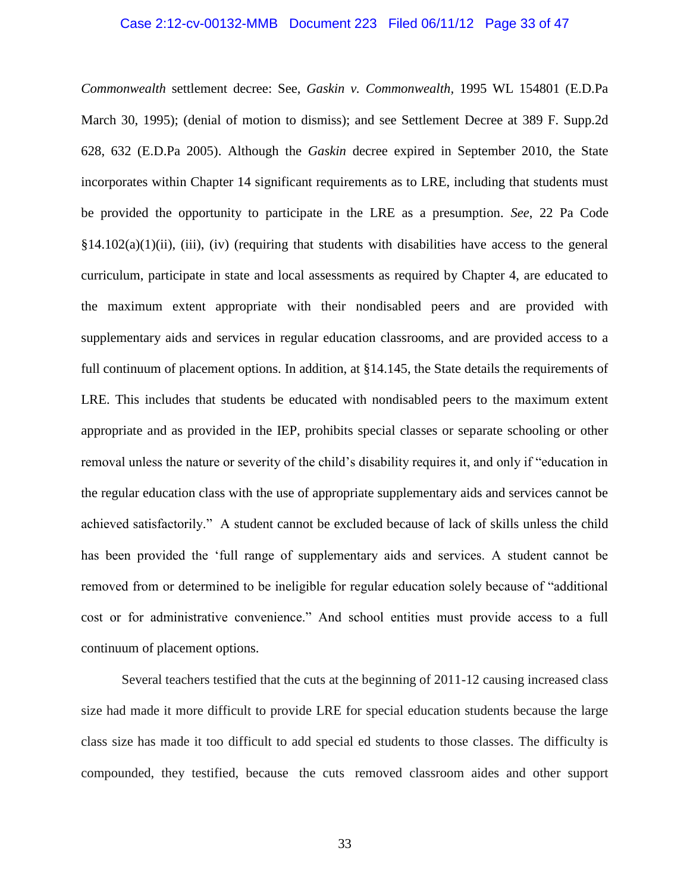## Case 2:12-cv-00132-MMB Document 223 Filed 06/11/12 Page 33 of 47

*Commonwealth* settlement decree: See, *Gaskin v. Commonwealth,* 1995 WL 154801 (E.D.Pa March 30, 1995); (denial of motion to dismiss); and see Settlement Decree at 389 F. Supp.2d 628, 632 (E.D.Pa 2005). Although the *Gaskin* decree expired in September 2010, the State incorporates within Chapter 14 significant requirements as to LRE, including that students must be provided the opportunity to participate in the LRE as a presumption. *See*, 22 Pa Code  $\S 14.102(a)(1)(ii)$ , (iii), (iv) (requiring that students with disabilities have access to the general curriculum, participate in state and local assessments as required by Chapter 4, are educated to the maximum extent appropriate with their nondisabled peers and are provided with supplementary aids and services in regular education classrooms, and are provided access to a full continuum of placement options. In addition, at §14.145, the State details the requirements of LRE. This includes that students be educated with nondisabled peers to the maximum extent appropriate and as provided in the IEP, prohibits special classes or separate schooling or other removal unless the nature or severity of the child's disability requires it, and only if "education in the regular education class with the use of appropriate supplementary aids and services cannot be achieved satisfactorily." A student cannot be excluded because of lack of skills unless the child has been provided the 'full range of supplementary aids and services. A student cannot be removed from or determined to be ineligible for regular education solely because of "additional cost or for administrative convenience." And school entities must provide access to a full continuum of placement options.

Several teachers testified that the cuts at the beginning of 2011-12 causing increased class size had made it more difficult to provide LRE for special education students because the large class size has made it too difficult to add special ed students to those classes. The difficulty is compounded, they testified, because the cuts removed classroom aides and other support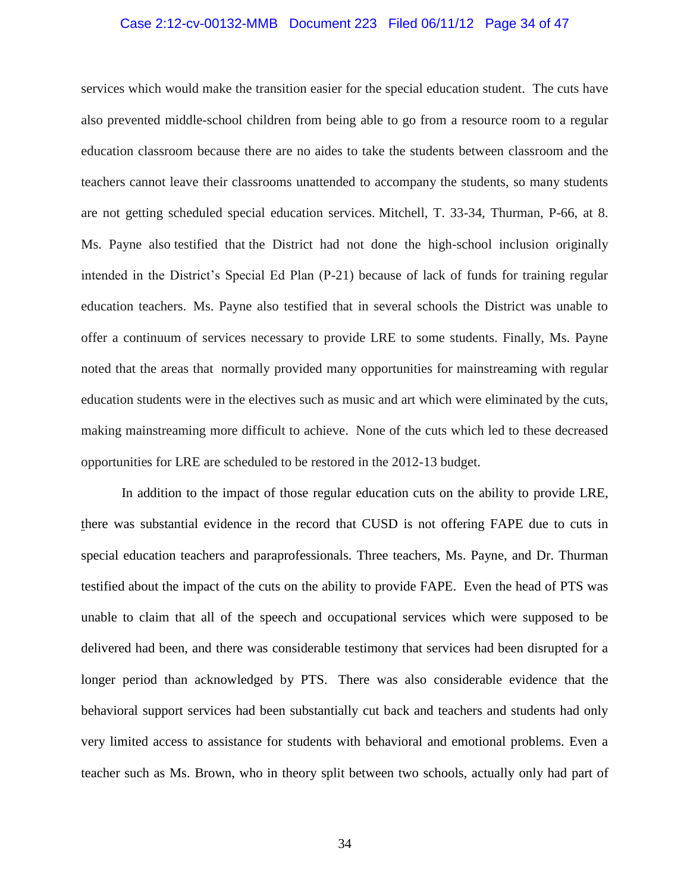## Case 2:12-cv-00132-MMB Document 223 Filed 06/11/12 Page 34 of 47

services which would make the transition easier for the special education student. The cuts have also prevented middle-school children from being able to go from a resource room to a regular education classroom because there are no aides to take the students between classroom and the teachers cannot leave their classrooms unattended to accompany the students, so many students are not getting scheduled special education services. Mitchell, T. 33-34, Thurman, P-66, at 8. Ms. Payne also testified that the District had not done the high-school inclusion originally intended in the District's Special Ed Plan (P-21) because of lack of funds for training regular education teachers. Ms. Payne also testified that in several schools the District was unable to offer a continuum of services necessary to provide LRE to some students. Finally, Ms. Payne noted that the areas that normally provided many opportunities for mainstreaming with regular education students were in the electives such as music and art which were eliminated by the cuts, making mainstreaming more difficult to achieve. None of the cuts which led to these decreased opportunities for LRE are scheduled to be restored in the 2012-13 budget.

In addition to the impact of those regular education cuts on the ability to provide LRE, there was substantial evidence in the record that CUSD is not offering FAPE due to cuts in special education teachers and paraprofessionals. Three teachers, Ms. Payne, and Dr. Thurman testified about the impact of the cuts on the ability to provide FAPE. Even the head of PTS was unable to claim that all of the speech and occupational services which were supposed to be delivered had been, and there was considerable testimony that services had been disrupted for a longer period than acknowledged by PTS. There was also considerable evidence that the behavioral support services had been substantially cut back and teachers and students had only very limited access to assistance for students with behavioral and emotional problems. Even a teacher such as Ms. Brown, who in theory split between two schools, actually only had part of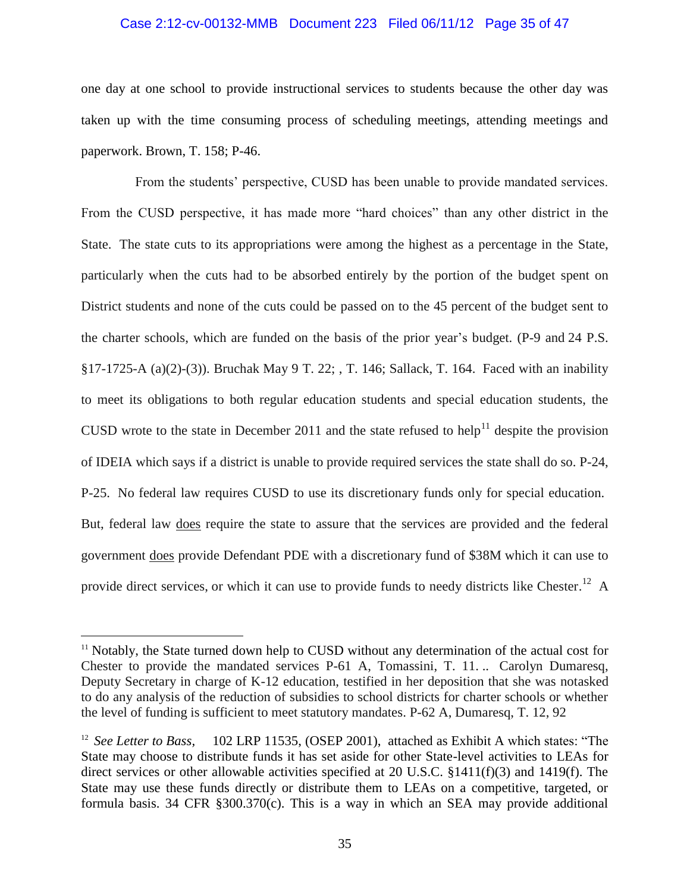#### Case 2:12-cv-00132-MMB Document 223 Filed 06/11/12 Page 35 of 47

one day at one school to provide instructional services to students because the other day was taken up with the time consuming process of scheduling meetings, attending meetings and paperwork. Brown, T. 158; P-46.

From the students' perspective, CUSD has been unable to provide mandated services. From the CUSD perspective, it has made more "hard choices" than any other district in the State. The state cuts to its appropriations were among the highest as a percentage in the State, particularly when the cuts had to be absorbed entirely by the portion of the budget spent on District students and none of the cuts could be passed on to the 45 percent of the budget sent to the charter schools, which are funded on the basis of the prior year's budget. (P-9 and 24 P.S. §17-1725-A (a)(2)-(3)). Bruchak May 9 T. 22; , T. 146; Sallack, T. 164. Faced with an inability to meet its obligations to both regular education students and special education students, the CUSD wrote to the state in December 2011 and the state refused to help<sup>11</sup> despite the provision of IDEIA which says if a district is unable to provide required services the state shall do so. P-24, P-25. No federal law requires CUSD to use its discretionary funds only for special education. But, federal law does require the state to assure that the services are provided and the federal government does provide Defendant PDE with a discretionary fund of \$38M which it can use to provide direct services, or which it can use to provide funds to needy districts like Chester.<sup>12</sup> A

<sup>&</sup>lt;sup>11</sup> Notably, the State turned down help to CUSD without any determination of the actual cost for Chester to provide the mandated services P-61 A, Tomassini, T. 11. .. Carolyn Dumaresq, Deputy Secretary in charge of K-12 education, testified in her deposition that she was notasked to do any analysis of the reduction of subsidies to school districts for charter schools or whether the level of funding is sufficient to meet statutory mandates. P-62 A, Dumaresq, T. 12, 92

<sup>&</sup>lt;sup>12</sup> See Letter to Bass, 102 LRP 11535, (OSEP 2001), attached as Exhibit A which states: "The State may choose to distribute funds it has set aside for other State-level activities to LEAs for direct services or other allowable activities specified at 20 U.S.C. §1411(f)(3) and 1419(f). The State may use these funds directly or distribute them to LEAs on a competitive, targeted, or formula basis. 34 CFR §300.370(c). This is a way in which an SEA may provide additional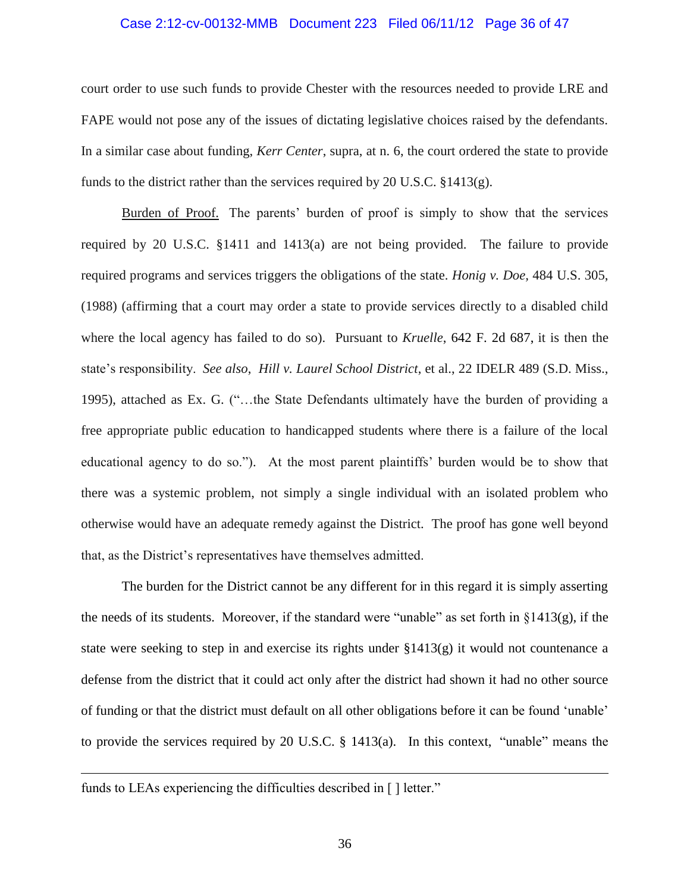#### Case 2:12-cv-00132-MMB Document 223 Filed 06/11/12 Page 36 of 47

court order to use such funds to provide Chester with the resources needed to provide LRE and FAPE would not pose any of the issues of dictating legislative choices raised by the defendants. In a similar case about funding, *Kerr Center*, supra, at n. 6, the court ordered the state to provide funds to the district rather than the services required by 20 U.S.C.  $§1413(g)$ .

Burden of Proof. The parents' burden of proof is simply to show that the services required by 20 U.S.C. §1411 and 1413(a) are not being provided. The failure to provide required programs and services triggers the obligations of the state. *Honig v. Doe,* 484 U.S. 305, (1988) (affirming that a court may order a state to provide services directly to a disabled child where the local agency has failed to do so). Pursuant to *Kruelle*, 642 F. 2d 687, it is then the state's responsibility. *See also*, *Hill v. Laurel School District*, et al., 22 IDELR 489 (S.D. Miss., 1995), attached as Ex. G. ("…the State Defendants ultimately have the burden of providing a free appropriate public education to handicapped students where there is a failure of the local educational agency to do so."). At the most parent plaintiffs' burden would be to show that there was a systemic problem, not simply a single individual with an isolated problem who otherwise would have an adequate remedy against the District. The proof has gone well beyond that, as the District's representatives have themselves admitted.

The burden for the District cannot be any different for in this regard it is simply asserting the needs of its students. Moreover, if the standard were "unable" as set forth in §1413(g), if the state were seeking to step in and exercise its rights under  $\S 1413(g)$  it would not countenance a defense from the district that it could act only after the district had shown it had no other source of funding or that the district must default on all other obligations before it can be found 'unable' to provide the services required by 20 U.S.C. § 1413(a). In this context, "unable" means the

funds to LEAs experiencing the difficulties described in [ ] letter."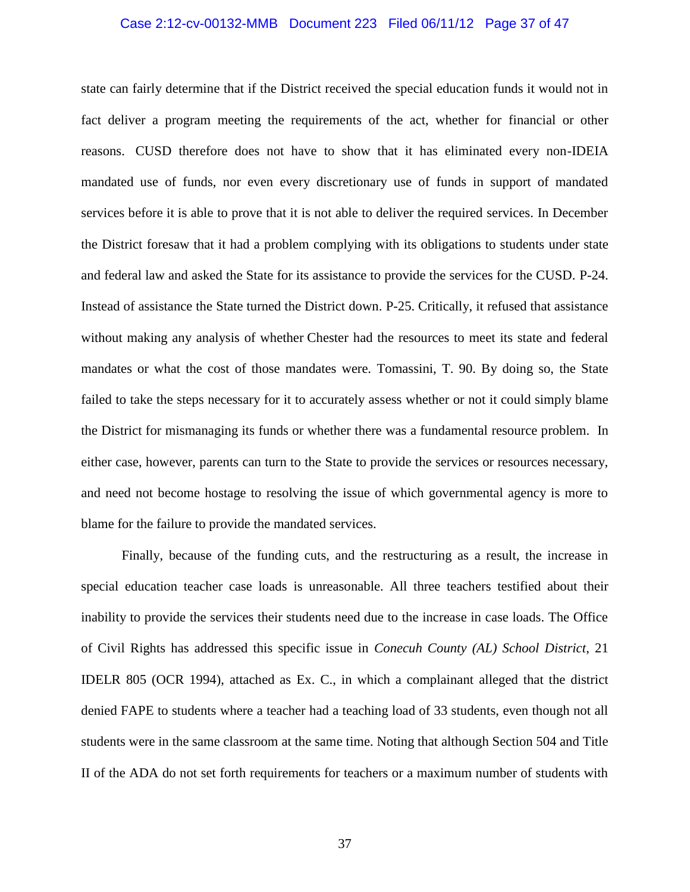## Case 2:12-cv-00132-MMB Document 223 Filed 06/11/12 Page 37 of 47

state can fairly determine that if the District received the special education funds it would not in fact deliver a program meeting the requirements of the act, whether for financial or other reasons. CUSD therefore does not have to show that it has eliminated every non-IDEIA mandated use of funds, nor even every discretionary use of funds in support of mandated services before it is able to prove that it is not able to deliver the required services. In December the District foresaw that it had a problem complying with its obligations to students under state and federal law and asked the State for its assistance to provide the services for the CUSD. P-24. Instead of assistance the State turned the District down. P-25. Critically, it refused that assistance without making any analysis of whether Chester had the resources to meet its state and federal mandates or what the cost of those mandates were. Tomassini, T. 90. By doing so, the State failed to take the steps necessary for it to accurately assess whether or not it could simply blame the District for mismanaging its funds or whether there was a fundamental resource problem. In either case, however, parents can turn to the State to provide the services or resources necessary, and need not become hostage to resolving the issue of which governmental agency is more to blame for the failure to provide the mandated services.

Finally, because of the funding cuts, and the restructuring as a result, the increase in special education teacher case loads is unreasonable. All three teachers testified about their inability to provide the services their students need due to the increase in case loads. The Office of Civil Rights has addressed this specific issue in *Conecuh County (AL) School District*, 21 IDELR 805 (OCR 1994), attached as Ex. C., in which a complainant alleged that the district denied FAPE to students where a teacher had a teaching load of 33 students, even though not all students were in the same classroom at the same time. Noting that although Section 504 and Title II of the ADA do not set forth requirements for teachers or a maximum number of students with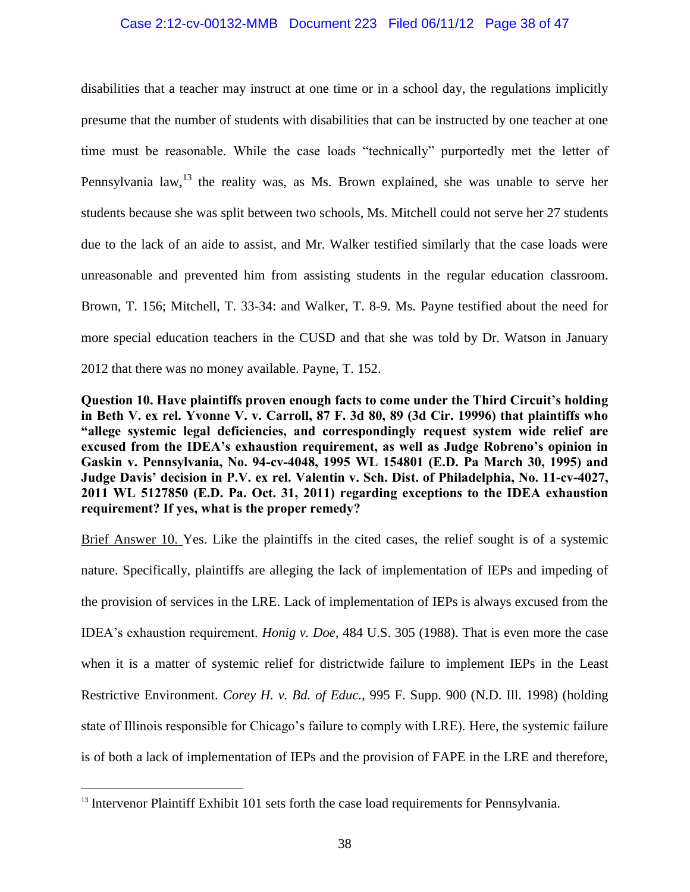## Case 2:12-cv-00132-MMB Document 223 Filed 06/11/12 Page 38 of 47

disabilities that a teacher may instruct at one time or in a school day, the regulations implicitly presume that the number of students with disabilities that can be instructed by one teacher at one time must be reasonable. While the case loads "technically" purportedly met the letter of Pennsylvania law,  $13$  the reality was, as Ms. Brown explained, she was unable to serve her students because she was split between two schools, Ms. Mitchell could not serve her 27 students due to the lack of an aide to assist, and Mr. Walker testified similarly that the case loads were unreasonable and prevented him from assisting students in the regular education classroom. Brown, T. 156; Mitchell, T. 33-34: and Walker, T. 8-9. Ms. Payne testified about the need for more special education teachers in the CUSD and that she was told by Dr. Watson in January 2012 that there was no money available. Payne, T. 152.

**Question 10. Have plaintiffs proven enough facts to come under the Third Circuit's holding in Beth V. ex rel. Yvonne V. v. Carroll, 87 F. 3d 80, 89 (3d Cir. 19996) that plaintiffs who "allege systemic legal deficiencies, and correspondingly request system wide relief are excused from the IDEA's exhaustion requirement, as well as Judge Robreno's opinion in Gaskin v. Pennsylvania, No. 94-cv-4048, 1995 WL 154801 (E.D. Pa March 30, 1995) and Judge Davis' decision in P.V. ex rel. Valentin v. Sch. Dist. of Philadelphia, No. 11-cv-4027, 2011 WL 5127850 (E.D. Pa. Oct. 31, 2011) regarding exceptions to the IDEA exhaustion requirement? If yes, what is the proper remedy?**

Brief Answer 10. Yes. Like the plaintiffs in the cited cases, the relief sought is of a systemic nature. Specifically, plaintiffs are alleging the lack of implementation of IEPs and impeding of the provision of services in the LRE. Lack of implementation of IEPs is always excused from the IDEA's exhaustion requirement. *Honig v. Doe,* 484 U.S. 305 (1988). That is even more the case when it is a matter of systemic relief for districtwide failure to implement IEPs in the Least Restrictive Environment. *Corey H. v. Bd. of Educ.*, 995 F. Supp. 900 (N.D. Ill. 1998) (holding state of Illinois responsible for Chicago's failure to comply with LRE). Here, the systemic failure is of both a lack of implementation of IEPs and the provision of FAPE in the LRE and therefore,

<sup>&</sup>lt;sup>13</sup> Intervenor Plaintiff Exhibit 101 sets forth the case load requirements for Pennsylvania.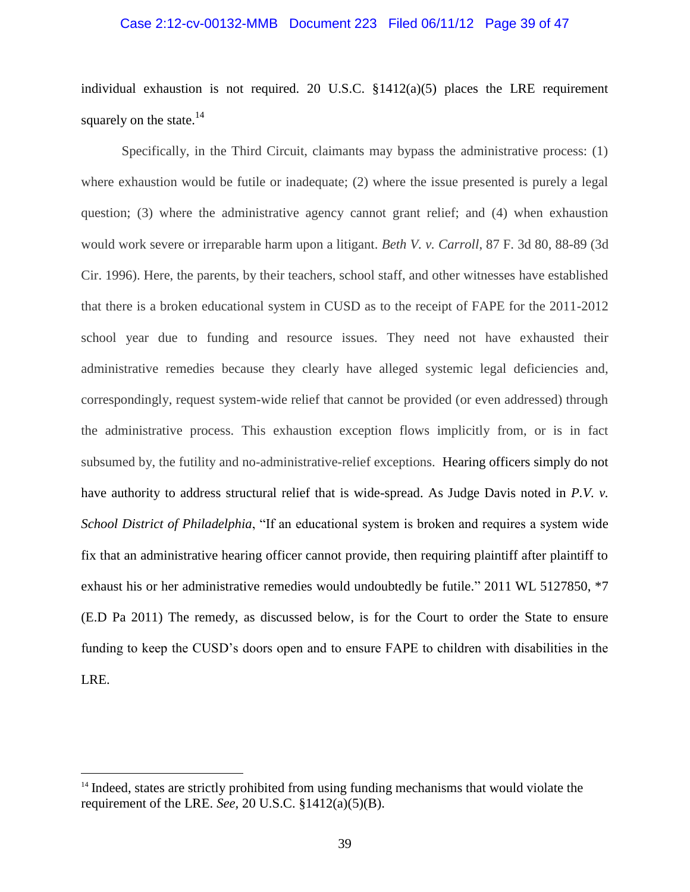## Case 2:12-cv-00132-MMB Document 223 Filed 06/11/12 Page 39 of 47

individual exhaustion is not required. 20 U.S.C. §1412(a)(5) places the LRE requirement squarely on the state. $^{14}$ 

Specifically, in the Third Circuit, claimants may bypass the administrative process: (1) where exhaustion would be futile or inadequate; (2) where the issue presented is purely a legal question; (3) where the administrative agency cannot grant relief; and (4) when exhaustion would work severe or irreparable harm upon a litigant. *Beth V. v. Carroll*, 87 F. 3d 80, 88-89 (3d Cir. 1996). Here, the parents, by their teachers, school staff, and other witnesses have established that there is a broken educational system in CUSD as to the receipt of FAPE for the 2011-2012 school year due to funding and resource issues. They need not have exhausted their administrative remedies because they clearly have alleged systemic legal deficiencies and, correspondingly, request system-wide relief that cannot be provided (or even addressed) through the administrative process. This exhaustion exception flows implicitly from, or is in fact subsumed by, the futility and no-administrative-relief exceptions. Hearing officers simply do not have authority to address structural relief that is wide-spread. As Judge Davis noted in *P.V. v. School District of Philadelphia*, "If an educational system is broken and requires a system wide fix that an administrative hearing officer cannot provide, then requiring plaintiff after plaintiff to exhaust his or her administrative remedies would undoubtedly be futile." 2011 WL 5127850, \*7 (E.D Pa 2011) The remedy, as discussed below, is for the Court to order the State to ensure funding to keep the CUSD's doors open and to ensure FAPE to children with disabilities in the LRE.

<sup>&</sup>lt;sup>14</sup> Indeed, states are strictly prohibited from using funding mechanisms that would violate the requirement of the LRE. *See,* 20 U.S.C. §1412(a)(5)(B).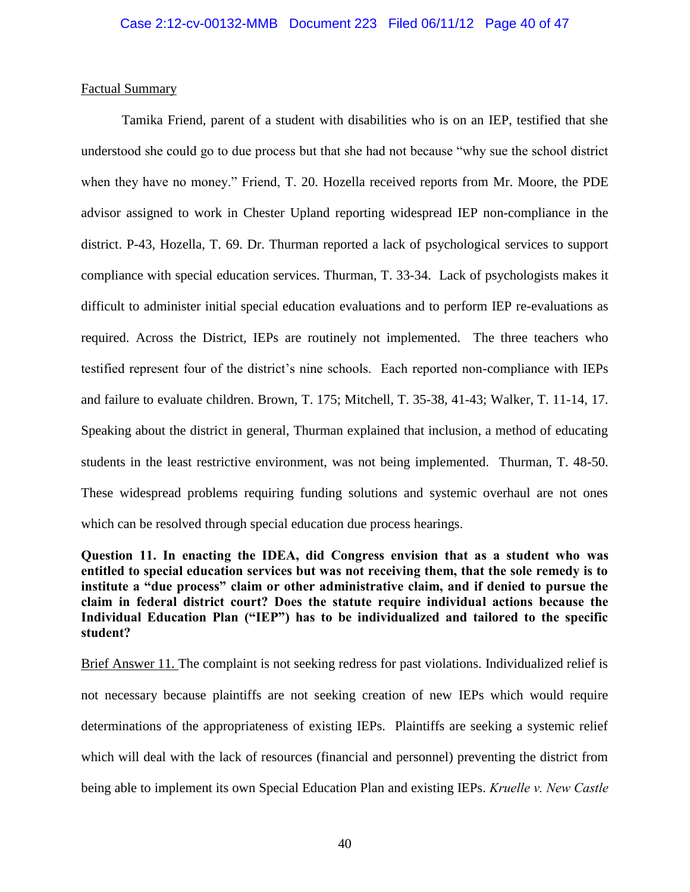## Factual Summary

Tamika Friend, parent of a student with disabilities who is on an IEP, testified that she understood she could go to due process but that she had not because "why sue the school district when they have no money." Friend, T. 20. Hozella received reports from Mr. Moore, the PDE advisor assigned to work in Chester Upland reporting widespread IEP non-compliance in the district. P-43, Hozella, T. 69. Dr. Thurman reported a lack of psychological services to support compliance with special education services. Thurman, T. 33-34. Lack of psychologists makes it difficult to administer initial special education evaluations and to perform IEP re-evaluations as required. Across the District, IEPs are routinely not implemented. The three teachers who testified represent four of the district's nine schools. Each reported non-compliance with IEPs and failure to evaluate children. Brown, T. 175; Mitchell, T. 35-38, 41-43; Walker, T. 11-14, 17. Speaking about the district in general, Thurman explained that inclusion, a method of educating students in the least restrictive environment, was not being implemented. Thurman, T. 48-50. These widespread problems requiring funding solutions and systemic overhaul are not ones which can be resolved through special education due process hearings.

**Question 11. In enacting the IDEA, did Congress envision that as a student who was entitled to special education services but was not receiving them, that the sole remedy is to institute a "due process" claim or other administrative claim, and if denied to pursue the claim in federal district court? Does the statute require individual actions because the Individual Education Plan ("IEP") has to be individualized and tailored to the specific student?**

Brief Answer 11. The complaint is not seeking redress for past violations. Individualized relief is not necessary because plaintiffs are not seeking creation of new IEPs which would require determinations of the appropriateness of existing IEPs. Plaintiffs are seeking a systemic relief which will deal with the lack of resources (financial and personnel) preventing the district from being able to implement its own Special Education Plan and existing IEPs. *Kruelle v. New Castle*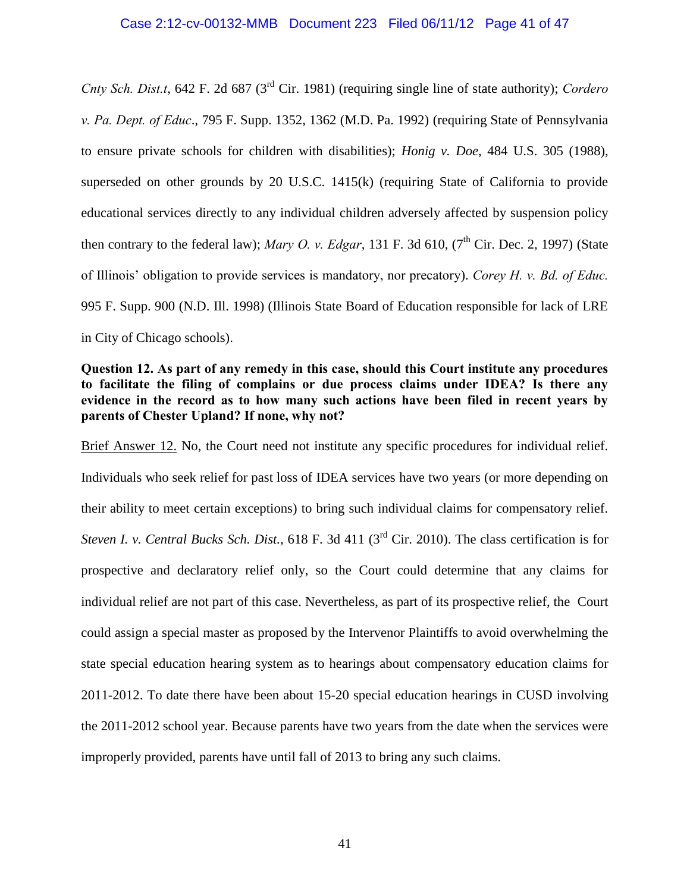*Cnty Sch. Dist.t*, 642 F. 2d 687 (3rd Cir. 1981) (requiring single line of state authority); *Cordero v. Pa. Dept. of Educ*., 795 F. Supp. 1352, 1362 (M.D. Pa. 1992) (requiring State of Pennsylvania to ensure private schools for children with disabilities); *Honig v. Doe*, 484 U.S. 305 (1988), superseded on other grounds by 20 U.S.C. 1415(k) (requiring State of California to provide educational services directly to any individual children adversely affected by suspension policy then contrary to the federal law); *Mary O. v. Edgar*, 131 F. 3d 610,  $7<sup>th</sup>$  Cir. Dec. 2, 1997) (State of Illinois' obligation to provide services is mandatory, nor precatory). *Corey H. v. Bd. of Educ.*  995 F. Supp. 900 (N.D. Ill. 1998) (Illinois State Board of Education responsible for lack of LRE in City of Chicago schools).

## **Question 12. As part of any remedy in this case, should this Court institute any procedures to facilitate the filing of complains or due process claims under IDEA? Is there any evidence in the record as to how many such actions have been filed in recent years by parents of Chester Upland? If none, why not?**

Brief Answer 12. No, the Court need not institute any specific procedures for individual relief. Individuals who seek relief for past loss of IDEA services have two years (or more depending on their ability to meet certain exceptions) to bring such individual claims for compensatory relief. *Steven I. v. Central Bucks Sch. Dist.*, 618 F. 3d 411 (3rd Cir. 2010). The class certification is for prospective and declaratory relief only, so the Court could determine that any claims for individual relief are not part of this case. Nevertheless, as part of its prospective relief, the Court could assign a special master as proposed by the Intervenor Plaintiffs to avoid overwhelming the state special education hearing system as to hearings about compensatory education claims for 2011-2012. To date there have been about 15-20 special education hearings in CUSD involving the 2011-2012 school year. Because parents have two years from the date when the services were improperly provided, parents have until fall of 2013 to bring any such claims.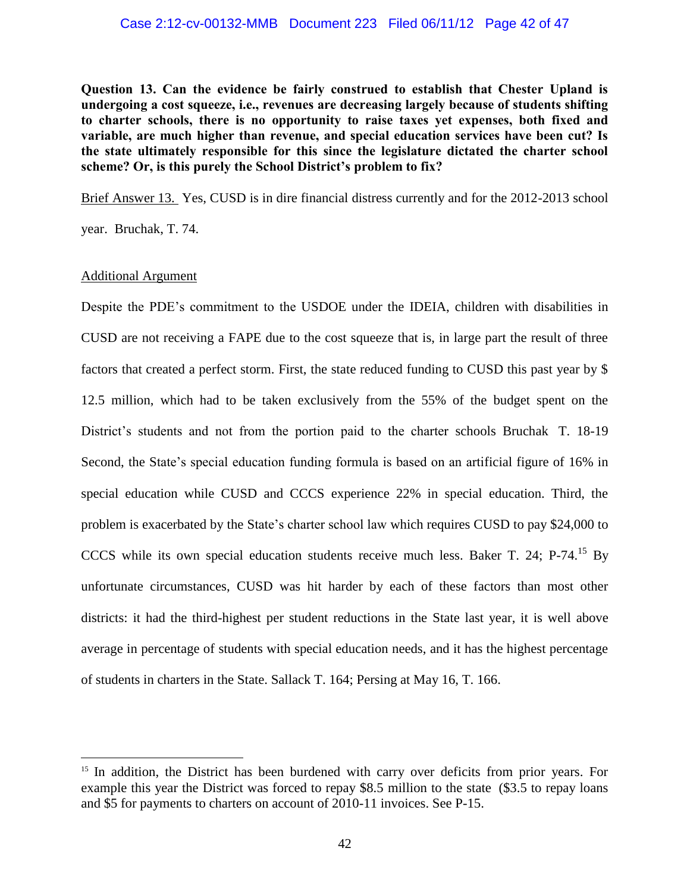**Question 13. Can the evidence be fairly construed to establish that Chester Upland is undergoing a cost squeeze, i.e., revenues are decreasing largely because of students shifting to charter schools, there is no opportunity to raise taxes yet expenses, both fixed and variable, are much higher than revenue, and special education services have been cut? Is the state ultimately responsible for this since the legislature dictated the charter school scheme? Or, is this purely the School District's problem to fix?**

Brief Answer 13. Yes, CUSD is in dire financial distress currently and for the 2012-2013 school

year. Bruchak, T. 74.

## Additional Argument

 $\overline{a}$ 

Despite the PDE's commitment to the USDOE under the IDEIA, children with disabilities in CUSD are not receiving a FAPE due to the cost squeeze that is, in large part the result of three factors that created a perfect storm. First, the state reduced funding to CUSD this past year by \$ 12.5 million, which had to be taken exclusively from the 55% of the budget spent on the District's students and not from the portion paid to the charter schools Bruchak T. 18-19 Second, the State's special education funding formula is based on an artificial figure of 16% in special education while CUSD and CCCS experience 22% in special education. Third, the problem is exacerbated by the State's charter school law which requires CUSD to pay \$24,000 to CCCS while its own special education students receive much less. Baker T. 24; P-74. <sup>15</sup> By unfortunate circumstances, CUSD was hit harder by each of these factors than most other districts: it had the third-highest per student reductions in the State last year, it is well above average in percentage of students with special education needs, and it has the highest percentage of students in charters in the State. Sallack T. 164; Persing at May 16, T. 166.

 $15$  In addition, the District has been burdened with carry over deficits from prior years. For example this year the District was forced to repay \$8.5 million to the state (\$3.5 to repay loans and \$5 for payments to charters on account of 2010-11 invoices. See P-15.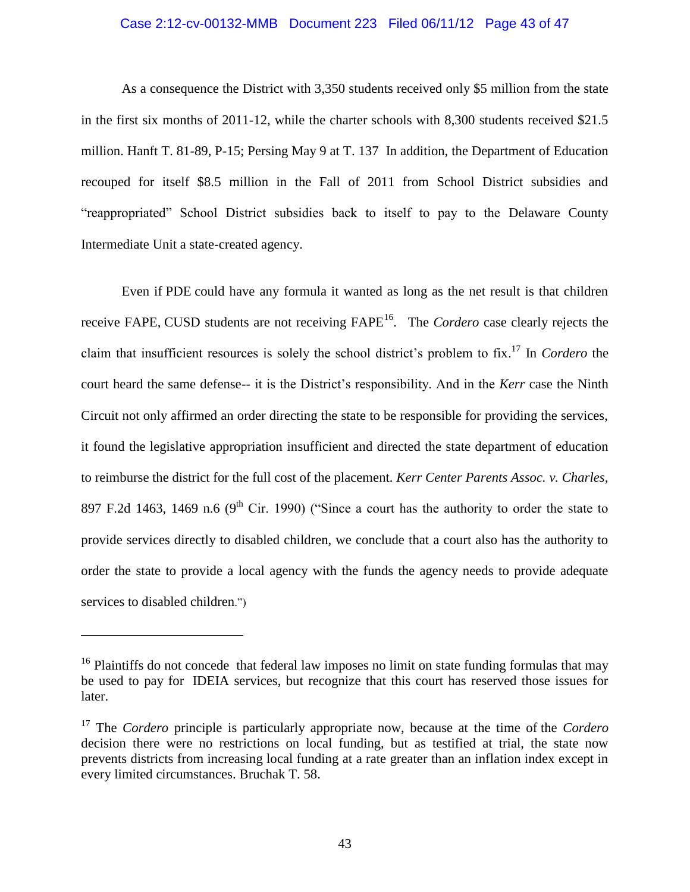#### Case 2:12-cv-00132-MMB Document 223 Filed 06/11/12 Page 43 of 47

As a consequence the District with 3,350 students received only \$5 million from the state in the first six months of 2011-12, while the charter schools with 8,300 students received \$21.5 million. Hanft T. 81-89, P-15; Persing May 9 at T. 137 In addition, the Department of Education recouped for itself \$8.5 million in the Fall of 2011 from School District subsidies and "reappropriated" School District subsidies back to itself to pay to the Delaware County Intermediate Unit a state-created agency.

Even if PDE could have any formula it wanted as long as the net result is that children receive FAPE, CUSD students are not receiving FAPE<sup>16</sup>. The *Cordero* case clearly rejects the claim that insufficient resources is solely the school district's problem to fix.<sup>17</sup> In *Cordero* the court heard the same defense-- it is the District's responsibility. And in the *Kerr* case the Ninth Circuit not only affirmed an order directing the state to be responsible for providing the services, it found the legislative appropriation insufficient and directed the state department of education to reimburse the district for the full cost of the placement. *Kerr Center Parents Assoc. v. Charles,*  897 F.2d 1463, 1469 n.6 (9<sup>th</sup> Cir. 1990) ("Since a court has the authority to order the state to provide services directly to disabled children, we conclude that a court also has the authority to order the state to provide a local agency with the funds the agency needs to provide adequate services to disabled children.")

 $16$  Plaintiffs do not concede that federal law imposes no limit on state funding formulas that may be used to pay for IDEIA services, but recognize that this court has reserved those issues for later.

<sup>17</sup> The *Cordero* principle is particularly appropriate now, because at the time of the *Cordero* decision there were no restrictions on local funding, but as testified at trial, the state now prevents districts from increasing local funding at a rate greater than an inflation index except in every limited circumstances. Bruchak T. 58.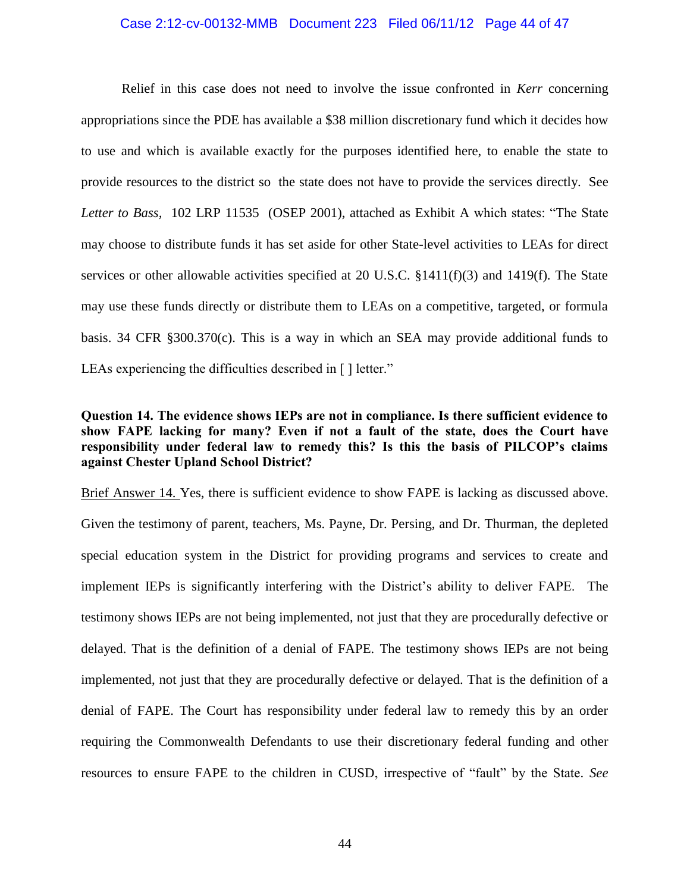## Case 2:12-cv-00132-MMB Document 223 Filed 06/11/12 Page 44 of 47

Relief in this case does not need to involve the issue confronted in *Kerr* concerning appropriations since the PDE has available a \$38 million discretionary fund which it decides how to use and which is available exactly for the purposes identified here, to enable the state to provide resources to the district so the state does not have to provide the services directly. See *Letter to Bass,* 102 LRP 11535 (OSEP 2001), attached as Exhibit A which states: "The State may choose to distribute funds it has set aside for other State-level activities to LEAs for direct services or other allowable activities specified at 20 U.S.C. §1411(f)(3) and 1419(f). The State may use these funds directly or distribute them to LEAs on a competitive, targeted, or formula basis. 34 CFR §300.370(c). This is a way in which an SEA may provide additional funds to LEAs experiencing the difficulties described in [] letter."

## **Question 14. The evidence shows IEPs are not in compliance. Is there sufficient evidence to show FAPE lacking for many? Even if not a fault of the state, does the Court have responsibility under federal law to remedy this? Is this the basis of PILCOP's claims against Chester Upland School District?**

Brief Answer 14. Yes, there is sufficient evidence to show FAPE is lacking as discussed above. Given the testimony of parent, teachers, Ms. Payne, Dr. Persing, and Dr. Thurman, the depleted special education system in the District for providing programs and services to create and implement IEPs is significantly interfering with the District's ability to deliver FAPE. The testimony shows IEPs are not being implemented, not just that they are procedurally defective or delayed. That is the definition of a denial of FAPE. The testimony shows IEPs are not being implemented, not just that they are procedurally defective or delayed. That is the definition of a denial of FAPE. The Court has responsibility under federal law to remedy this by an order requiring the Commonwealth Defendants to use their discretionary federal funding and other resources to ensure FAPE to the children in CUSD, irrespective of "fault" by the State. *See*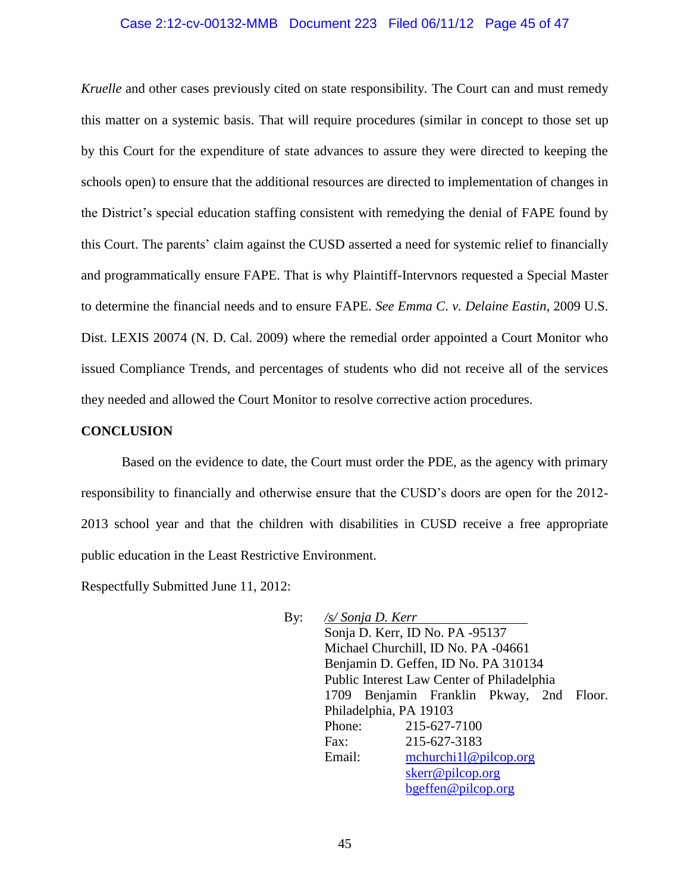## Case 2:12-cv-00132-MMB Document 223 Filed 06/11/12 Page 45 of 47

*Kruelle* and other cases previously cited on state responsibility. The Court can and must remedy this matter on a systemic basis. That will require procedures (similar in concept to those set up by this Court for the expenditure of state advances to assure they were directed to keeping the schools open) to ensure that the additional resources are directed to implementation of changes in the District's special education staffing consistent with remedying the denial of FAPE found by this Court. The parents' claim against the CUSD asserted a need for systemic relief to financially and programmatically ensure FAPE. That is why Plaintiff-Intervnors requested a Special Master to determine the financial needs and to ensure FAPE. *See Emma C*. *v. Delaine Eastin*, 2009 U.S. Dist. LEXIS 20074 (N. D. Cal. 2009) where the remedial order appointed a Court Monitor who issued Compliance Trends, and percentages of students who did not receive all of the services they needed and allowed the Court Monitor to resolve corrective action procedures.

## **CONCLUSION**

Based on the evidence to date, the Court must order the PDE, as the agency with primary responsibility to financially and otherwise ensure that the CUSD's doors are open for the 2012- 2013 school year and that the children with disabilities in CUSD receive a free appropriate public education in the Least Restrictive Environment.

Respectfully Submitted June 11, 2012:

By: */s/ Sonja D. Kerr* Sonja D. Kerr, ID No. PA -95137 Michael Churchill, ID No. PA -04661 Benjamin D. Geffen, ID No. PA 310134 Public Interest Law Center of Philadelphia 1709 Benjamin Franklin Pkway, 2nd Floor. Philadelphia, PA 19103 Phone: 215-627-7100 Fax: 215-627-3183 Email: [mchurchi1l@pilcop.org](mailto:mchurchi1l@pilcop.org)  [skerr@pilcop.org](mailto:skerr@pilcop.org)  [bgeffen@pilcop.org](mailto:bgeffen@pilcop.org)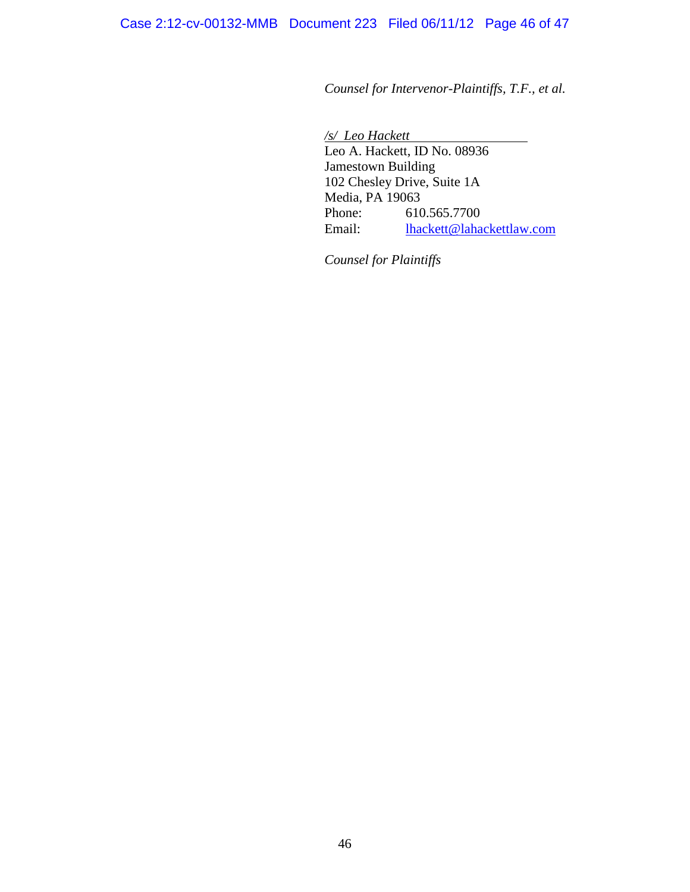*Counsel for Intervenor-Plaintiffs, T.F., et al.* 

*/s/ Leo Hackett* Leo A. Hackett, ID No. 08936 Jamestown Building 102 Chesley Drive, Suite 1A Media, PA 19063 Phone: 610.565.7700 Email: [lhackett@lahackettlaw.com](mailto:lhackett@lahackettlaw.com) 

*Counsel for Plaintiffs*